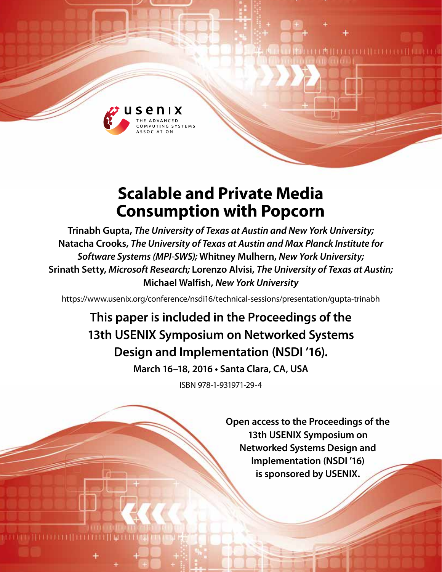

# **Scalable and Private Media Consumption with Popcorn**

**Trinabh Gupta,** *The University of Texas at Austin and New York University;*  **Natacha Crooks,** *The University of Texas at Austin and Max Planck Institute for Software Systems (MPI-SWS);* **Whitney Mulhern,** *New York University;* **Srinath Setty,** *Microsoft Research;* **Lorenzo Alvisi,** *The University of Texas at Austin;* **Michael Walfish,** *New York University*

https://www.usenix.org/conference/nsdi16/technical-sessions/presentation/gupta-trinabh

## **This paper is included in the Proceedings of the 13th USENIX Symposium on Networked Systems Design and Implementation (NSDI '16).**

**March 16–18, 2016 • Santa Clara, CA, USA**

ISBN 978-1-931971-29-4

**Open access to the Proceedings of the 13th USENIX Symposium on Networked Systems Design and Implementation (NSDI '16) is sponsored by USENIX.**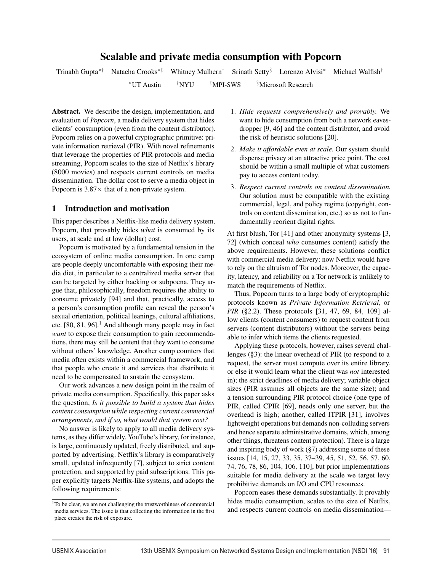## Scalable and private media consumption with Popcorn

Trinabh Gupta∗† Natacha Crooks∗‡ Whitney Mulhern† Srinath Setty§ Lorenzo Alvisi∗ Michael Walfish†  $*$ UT Austin  $*$  TNYU  $*$  MPI-SWS  $*$  Microsoft Research

Abstract. We describe the design, implementation, and evaluation of *Popcorn*, a media delivery system that hides clients' consumption (even from the content distributor). Popcorn relies on a powerful cryptographic primitive: private information retrieval (PIR). With novel refinements that leverage the properties of PIR protocols and media streaming, Popcorn scales to the size of Netflix's library (8000 movies) and respects current controls on media dissemination. The dollar cost to serve a media object in Popcorn is  $3.87\times$  that of a non-private system.

## 1 Introduction and motivation

This paper describes a Netflix-like media delivery system, Popcorn, that provably hides *what* is consumed by its users, at scale and at low (dollar) cost.

Popcorn is motivated by a fundamental tension in the ecosystem of online media consumption. In one camp are people deeply uncomfortable with exposing their media diet, in particular to a centralized media server that can be targeted by either hacking or subpoena. They argue that, philosophically, freedom requires the ability to consume privately [94] and that, practically, access to a person's consumption profile can reveal the person's sexual orientation, political leanings, cultural affiliations, etc.  $[80, 81, 96]$ <sup>1</sup>. And although many people may in fact *want* to expose their consumption to gain recommendations, there may still be content that they want to consume without others' knowledge. Another camp counters that media often exists within a commercial framework, and that people who create it and services that distribute it need to be compensated to sustain the ecosystem.

Our work advances a new design point in the realm of private media consumption. Specifically, this paper asks the question, *Is it possible to build a system that hides content consumption while respecting current commercial arrangements, and if so, what would that system cost?*

No answer is likely to apply to all media delivery systems, as they differ widely. YouTube's library, for instance, is large, continuously updated, freely distributed, and supported by advertising. Netflix's library is comparatively small, updated infrequently [7], subject to strict content protection, and supported by paid subscriptions. This paper explicitly targets Netflix-like systems, and adopts the following requirements:

- 1. *Hide requests comprehensively and provably.* We want to hide consumption from both a network eavesdropper [9, 46] and the content distributor, and avoid the risk of heuristic solutions [20].
- 2. *Make it affordable even at scale.* Our system should dispense privacy at an attractive price point. The cost should be within a small multiple of what customers pay to access content today.
- 3. *Respect current controls on content dissemination.* Our solution must be compatible with the existing commercial, legal, and policy regime (copyright, controls on content dissemination, etc.) so as not to fundamentally reorient digital rights.

At first blush, Tor [41] and other anonymity systems [3, 72] (which conceal *who* consumes content) satisfy the above requirements. However, these solutions conflict with commercial media delivery: now Netflix would have to rely on the altruism of Tor nodes. Moreover, the capacity, latency, and reliability on a Tor network is unlikely to match the requirements of Netflix.

Thus, Popcorn turns to a large body of cryptographic protocols known as *Private Information Retrieval*, or *PIR* (§2.2). These protocols [31, 47, 69, 84, 109] allow clients (content consumers) to request content from servers (content distributors) without the servers being able to infer which items the clients requested.

Applying these protocols, however, raises several challenges (§3): the linear overhead of PIR (to respond to a request, the server must compute over its entire library, or else it would learn what the client was *not* interested in); the strict deadlines of media delivery; variable object sizes (PIR assumes all objects are the same size); and a tension surrounding PIR protocol choice (one type of PIR, called CPIR [69], needs only one server, but the overhead is high; another, called ITPIR [31], involves lightweight operations but demands non-colluding servers and hence separate administrative domains, which, among other things, threatens content protection). There is a large and inspiring body of work (§7) addressing some of these issues [14, 15, 27, 33, 35, 37–39, 45, 51, 52, 56, 57, 60, 74, 76, 78, 86, 104, 106, 110], but prior implementations suitable for media delivery at the scale we target levy prohibitive demands on I/O and CPU resources.

Popcorn eases these demands substantially. It provably hides media consumption, scales to the size of Netflix, and respects current controls on media dissemination—

1

<sup>&</sup>lt;sup>1</sup>To be clear, we are not challenging the trustworthiness of commercial media services. The issue is that collecting the information in the first place creates the risk of exposure.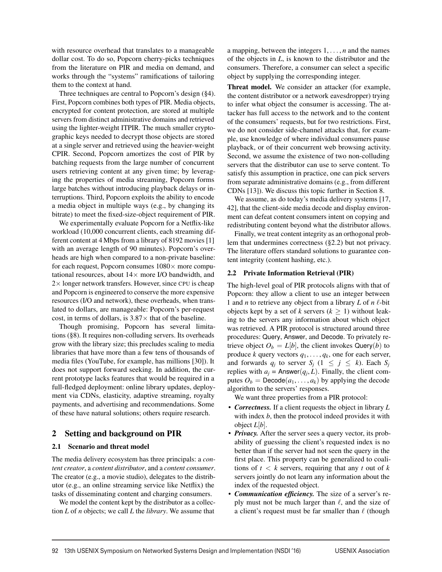with resource overhead that translates to a manageable dollar cost. To do so, Popcorn cherry-picks techniques from the literature on PIR and media on demand, and works through the "systems" ramifications of tailoring them to the context at hand.

Three techniques are central to Popcorn's design (§4). First, Popcorn combines both types of PIR. Media objects, encrypted for content protection, are stored at multiple servers from distinct administrative domains and retrieved using the lighter-weight ITPIR. The much smaller cryptographic keys needed to decrypt those objects are stored at a single server and retrieved using the heavier-weight CPIR. Second, Popcorn amortizes the cost of PIR by batching requests from the large number of concurrent users retrieving content at any given time; by leveraging the properties of media streaming, Popcorn forms large batches without introducing playback delays or interruptions. Third, Popcorn exploits the ability to encode a media object in multiple ways (e.g., by changing its bitrate) to meet the fixed-size-object requirement of PIR.

We experimentally evaluate Popcorn for a Netflix-like workload (10,000 concurrent clients, each streaming different content at 4 Mbps from a library of 8192 movies [1] with an average length of 90 minutes). Popcorn's overheads are high when compared to a non-private baseline: for each request, Popcorn consumes  $1080 \times$  more computational resources, about  $14\times$  more I/O bandwidth, and  $2\times$  longer network transfers. However, since CPU is cheap and Popcorn is engineered to conserve the more expensive resources (I/O and network), these overheads, when translated to dollars, are manageable: Popcorn's per-request cost, in terms of dollars, is  $3.87\times$  that of the baseline.

Though promising, Popcorn has several limitations (§8). It requires non-colluding servers. Its overheads grow with the library size; this precludes scaling to media libraries that have more than a few tens of thousands of media files (YouTube, for example, has millions [30]). It does not support forward seeking. In addition, the current prototype lacks features that would be required in a full-fledged deployment: online library updates, deployment via CDNs, elasticity, adaptive streaming, royalty payments, and advertising and recommendations. Some of these have natural solutions; others require research.

## 2 Setting and background on PIR

#### 2.1 Scenario and threat model

The media delivery ecosystem has three principals: a *content creator*, a *content distributor*, and a *content consumer*. The creator (e.g., a movie studio), delegates to the distributor (e.g., an online streaming service like Netflix) the tasks of disseminating content and charging consumers.

We model the content kept by the distributor as a collection *L* of *n* objects; we call *L* the *library*. We assume that a mapping, between the integers 1, ... , *n* and the names of the objects in *L*, is known to the distributor and the consumers. Therefore, a consumer can select a specific object by supplying the corresponding integer.

Threat model. We consider an attacker (for example, the content distributor or a network eavesdropper) trying to infer what object the consumer is accessing. The attacker has full access to the network and to the content of the consumers' requests, but for two restrictions. First, we do not consider side-channel attacks that, for example, use knowledge of where individual consumers pause playback, or of their concurrent web browsing activity. Second, we assume the existence of two non-colluding servers that the distributor can use to serve content. To satisfy this assumption in practice, one can pick servers from separate administrative domains (e.g., from different CDNs [13]). We discuss this topic further in Section 8.

We assume, as do today's media delivery systems [17, 42], that the client-side media decode and display environment can defeat content consumers intent on copying and redistributing content beyond what the distributor allows.

Finally, we treat content integrity as an orthogonal problem that undermines correctness (§2.2) but not privacy. The literature offers standard solutions to guarantee content integrity (content hashing, etc.).

#### 2.2 Private Information Retrieval (PIR)

The high-level goal of PIR protocols aligns with that of Popcorn: they allow a client to use an integer between 1 and *n* to retrieve any object from a library *L* of  $n \ell$ -bit objects kept by a set of *k* servers ( $k \ge 1$ ) without leaking to the servers any information about which object was retrieved. A PIR protocol is structured around three procedures: Query, Answer, and Decode. To privately retrieve object  $O_b = L[b]$ , the client invokes Query(*b*) to produce *k* query vectors  $q_1, \ldots, q_k$ , one for each server, and forwards  $q_i$  to server  $S_i$  ( $1 \leq j \leq k$ ). Each  $S_j$ replies with  $a_i$  = Answer $(q_i, L)$ . Finally, the client computes  $O_b = \text{Decode}(a_1, \ldots, a_k)$  by applying the decode algorithm to the servers' responses.

We want three properties from a PIR protocol:

- *Correctness.* If a client requests the object in library *L* with index *b*, then the protocol indeed provides it with object *L*[*b*].
- *Privacy*. After the server sees a query vector, its probability of guessing the client's requested index is no better than if the server had not seen the query in the first place. This property can be generalized to coalitions of  $t < k$  servers, requiring that any  $t$  out of  $k$ servers jointly do not learn any information about the index of the requested object.
- *Communication efficiency.* The size of a server's reply must not be much larger than  $\ell$ , and the size of a client's request must be far smaller than  $\ell$  (though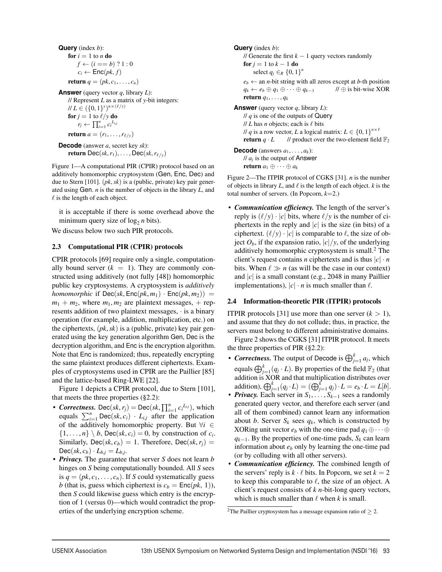**Query** (index *b*): for  $i = 1$  to *n* do  $f \leftarrow (i == b)$  ? 1 : 0  $c_i \leftarrow \textsf{Enc}(pk, f)$ return  $q = (pk, c_1, \ldots, c_n)$ 

**Answer** (query vector *q*, library *L*): // Represent *L* as a matrix of *y*-bit integers: *H L* ∈  $({0, 1}^y)^{n \times (\ell/y)}$ for  $j = 1$  to  $\ell$ /*y* do  $r_j \leftarrow \prod_{i=1}^n c_i^{L_{i,j}}$ return  $a = (r_1, \ldots, r_{\ell/\nu})$ 

**Decode** (answer *a*, secret key *sk*): return Dec( $sk$ ,  $r_1$ ), ..., Dec( $sk$ ,  $r_{\ell/\nu}$ )

Figure 1—A computational PIR (CPIR) protocol based on an additively homomorphic cryptosystem (Gen, Enc, Dec) and due to Stern [101]. (*pk*,*sk*) is a (public, private) key pair generated using Gen. *n* is the number of objects in the library *L*, and  $\ell$  is the length of each object.

it is acceptable if there is some overhead above the minimum query size of  $log_2 n$  bits).

We discuss below two such PIR protocols.

#### 2.3 Computational PIR (CPIR) protocols

CPIR protocols [69] require only a single, computationally bound server  $(k = 1)$ . They are commonly constructed using additively (not fully [48]) homomorphic public key cryptosystems. A cryptosystem is *additively homomorphic* if  $\text{Dec}(sk, \text{Enc}(pk, m_1) \cdot \text{Enc}(pk, m_2)) =$  $m_1 + m_2$ , where  $m_1, m_2$  are plaintext messages,  $+$  represents addition of two plaintext messages, · is a binary operation (for example, addition, multiplication, etc.) on the ciphertexts, (*pk*,*sk*) is a (public, private) key pair generated using the key generation algorithm Gen, Dec is the decryption algorithm, and Enc is the encryption algorithm. Note that Enc is randomized; thus, repeatedly encrypting the same plaintext produces different ciphertexts. Examples of cryptosystems used in CPIR are the Paillier [85] and the lattice-based Ring-LWE [22].

Figure 1 depicts a CPIR protocol, due to Stern [101], that meets the three properties (§2.2):

- *Correctness.* Dec(*sk, r<sub>j</sub>*) = Dec(*sk,*  $\prod_{i=1}^{n} c_i^{L_{ij}}$ ), which equals  $\sum_{i=1}^{n} \text{Dec}(sk, c_i) \cdot L_{i,j}$  after the application of the additively homomorphic property. But ∀*i* ∈  $\{1, \ldots, n\} \setminus b$ , Dec(*sk*, *c<sub>i</sub>*) = 0, by construction of *c<sub>i</sub>*. Similarly, Dec( $sk$ ,  $c<sub>b</sub>$ ) = 1. Therefore, Dec( $sk$ ,  $r<sub>i</sub>$ ) =  $Dec(sk, c_b) \cdot L_{b,j} = L_{b,j}.$
- *Privacy.* The guarantee that server *S* does not learn *b* hinges on *S* being computationally bounded. All *S* sees is  $q = (pk, c_1, \ldots, c_n)$ . If *S* could systematically guess *b* (that is, guess which ciphertext is  $c_b = \text{Enc}(pk, 1)$ ), then *S* could likewise guess which entry is the encryption of 1 (versus 0)—which would contradict the properties of the underlying encryption scheme.

```
Query (index b):
// Generate the first k - 1 query vectors randomly
for j = 1 to k - 1 do
      select q_j \in_R \{0,1\}^ne_b \leftarrow an n-bit string with all zeros except at b-th position q_k \leftarrow e_b \oplus q_1 \oplus \cdots \oplus q_{k-1} // \oplus is bit-wise XOR
q_k \leftarrow e_b \oplus q_1 \oplus \cdots \oplus q_{k-1}return q_1, \ldots, q_kAnswer (query vector q, library L):
// q is one of the outputs of Query
\frac{1}{L} has n objects; each is \ell bits
// q is a row vector, L a logical matrix: L \in \{0, 1\}^{n \times \ell}<br>return q · L // product over the two-element field
                         // product over the two-element field \mathbb{F}_2Decode (answers a_1, \ldots, a_k):
\frac{1}{a_i} is the output of Answer
return a_1 \oplus \cdots \oplus a_k
```
Figure 2—The ITPIR protocol of CGKS [31]. *n* is the number of objects in library  $L$ , and  $\ell$  is the length of each object.  $k$  is the total number of servers. (In Popcorn, *k*=2.)

• *Communication efficiency.* The length of the server's reply is  $(\ell/y) \cdot |c|$  bits, where  $\ell/y$  is the number of ciphertexts in the reply and  $|c|$  is the size (in bits) of a ciphertext.  $(\ell/y) \cdot |c|$  is comparable to  $\ell$ , the size of object  $O_b$ , if the expansion ratio,  $|c|/y$ , of the underlying additively homomorphic cryptosystem is small.<sup>2</sup> The client's request contains *n* ciphertexts and is thus  $|c| \cdot n$ bits. When  $\ell \gg n$  (as will be the case in our context) and |*c*| is a small constant (e.g., 2048 in many Paillier implementations),  $|c| \cdot n$  is much smaller than  $\ell$ .

## 2.4 Information-theoretic PIR (ITPIR) protocols

**ITPIR** protocols [31] use more than one server  $(k > 1)$ , and assume that they do not collude; thus, in practice, the servers must belong to different administrative domains.

Figure 2 shows the CGKS [31] ITPIR protocol. It meets the three properties of PIR  $(\S2.2)$ :

- *Correctness*. The output of Decode is  $\bigoplus_{j=1}^{k} a_j$ , which equals  $\bigoplus_{j=1}^{k} (q_j \cdot L)$ . By properties of the field  $\mathbb{F}_2$  (that addition is XOR and that multiplication distributes over addition),  $\bigoplus_{j=1}^{k} (q_j \cdot L) = (\bigoplus_{j=1}^{k} q_j) \cdot L = e_b \cdot L = L[b].$
- *Privacy.* Each server in *S*1, ... , *Sk*−<sup>1</sup> sees a randomly generated query vector, and therefore each server (and all of them combined) cannot learn any information about *b*. Server  $S_k$  sees  $q_k$ , which is constructed by XORing unit vector  $e_b$  with the one-time pad  $q_1 \oplus \cdots \oplus$ *q<sub>k−1</sub>*. By the properties of one-time pads, *S<sub>k</sub>* can learn information about  $e_b$  only by learning the one-time pad (or by colluding with all other servers).
- *Communication efficiency.* The combined length of the servers' reply is  $k \cdot \ell$  bits. In Popcorn, we set  $k = 2$ to keep this comparable to  $\ell$ , the size of an object. A client's request consists of *k n*-bit-long query vectors, which is much smaller than  $\ell$  when  $k$  is small.

<sup>&</sup>lt;sup>2</sup>The Paillier cryptosystem has a message expansion ratio of  $\geq$  2.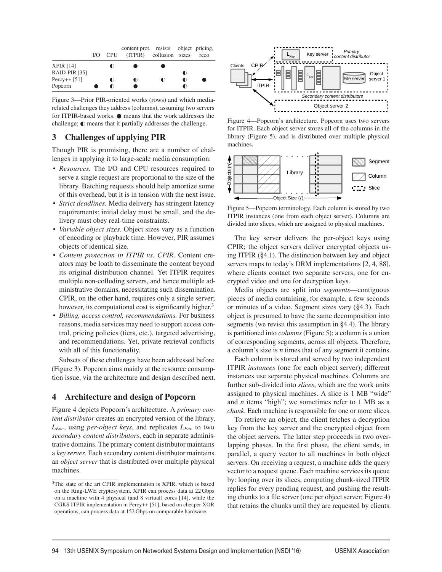|                  |  | content prot. resists object pricing,<br>I/O CPU (ITPIR) collusion sizes |                | reco |
|------------------|--|--------------------------------------------------------------------------|----------------|------|
| <b>XPIR [14]</b> |  |                                                                          |                |      |
| RAID-PIR [35]    |  |                                                                          | $\bullet$      |      |
| Percy++ $[51]$   |  | $\blacksquare$                                                           | $\blacksquare$ |      |
| Popcorn          |  |                                                                          | ◐              |      |

Figure 3—Prior PIR-oriented works (rows) and which mediarelated challenges they address (columns), assuming two servers for ITPIR-based works.  $\bullet$  means that the work addresses the challenge;  $\mathbb O$  means that it partially addresses the challenge.

## 3 Challenges of applying PIR

Though PIR is promising, there are a number of challenges in applying it to large-scale media consumption:

- *Resources.* The I/O and CPU resources required to serve a single request are proportional to the size of the library. Batching requests should help amortize some of this overhead, but it is in tension with the next issue.
- *Strict deadlines.* Media delivery has stringent latency requirements: initial delay must be small, and the delivery must obey real-time constraints.
- *Variable object sizes.* Object sizes vary as a function of encoding or playback time. However, PIR assumes objects of identical size.
- *Content protection in ITPIR vs. CPIR.* Content creators may be loath to disseminate the content beyond its original distribution channel. Yet ITPIR requires multiple non-colluding servers, and hence multiple administrative domains, necessitating such dissemination. CPIR, on the other hand, requires only a single server; however, its computational cost is significantly higher.<sup>3</sup>
- *Billing, access control, recommendations.* For business reasons, media services may need to support access control, pricing policies (tiers, etc.), targeted advertising, and recommendations. Yet, private retrieval conflicts with all of this functionality.

Subsets of these challenges have been addressed before (Figure 3). Popcorn aims mainly at the resource consumption issue, via the architecture and design described next.

## 4 Architecture and design of Popcorn

Figure 4 depicts Popcorn's architecture. A *primary content distributor* creates an encrypted version of the library, *LEnc*, using *per-object keys*, and replicates *LEnc* to two *secondary content distributors*, each in separate administrative domains. The primary content distributor maintains a *key server*. Each secondary content distributor maintains an *object server* that is distributed over multiple physical machines.



Figure 4—Popcorn's architecture. Popcorn uses two servers for ITPIR. Each object server stores all of the columns in the library (Figure 5), and is distributed over multiple physical machines.



Figure 5—Popcorn terminology. Each column is stored by two ITPIR instances (one from each object server). Columns are divided into slices, which are assigned to physical machines.

The key server delivers the per-object keys using CPIR; the object servers deliver encrypted objects using ITPIR (§4.1). The distinction between key and object servers maps to today's DRM implementations [2, 4, 88], where clients contact two separate servers, one for encrypted video and one for decryption keys.

Media objects are split into *segments*—contiguous pieces of media containing, for example, a few seconds or minutes of a video. Segment sizes vary (§4.3). Each object is presumed to have the same decomposition into segments (we revisit this assumption in §4.4). The library is partitioned into *columns* (Figure 5); a column is a union of corresponding segments, across all objects. Therefore, a column's size is *n* times that of any segment it contains.

Each column is stored and served by two independent ITPIR *instances* (one for each object server); different instances use separate physical machines. Columns are further sub-divided into *slices*, which are the work units assigned to physical machines. A slice is 1 MB "wide" and *n* items "high"; we sometimes refer to 1 MB as a *chunk*. Each machine is responsible for one or more slices.

To retrieve an object, the client fetches a decryption key from the key server and the encrypted object from the object servers. The latter step proceeds in two overlapping phases. In the first phase, the client sends, in parallel, a query vector to all machines in both object servers. On receiving a request, a machine adds the query vector to a request queue. Each machine services its queue by: looping over its slices, computing chunk-sized ITPIR replies for every pending request, and pushing the resulting chunks to a file server (one per object server; Figure 4) that retains the chunks until they are requested by clients.

<sup>3</sup>The state of the art CPIR implementation is XPIR, which is based on the Ring-LWE cryptosystem. XPIR can process data at 22 Gbps on a machine with 4 physical (and 8 virtual) cores [14], while the CGKS ITPIR implementation in Percy++ [51], based on cheaper XOR operations, can process data at 152 Gbps on comparable hardware.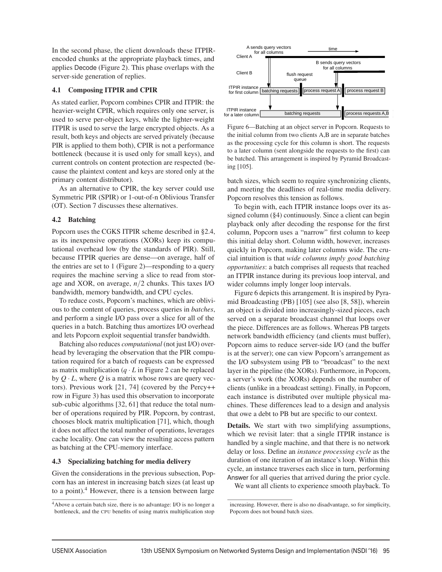In the second phase, the client downloads these ITPIRencoded chunks at the appropriate playback times, and applies Decode (Figure 2). This phase overlaps with the server-side generation of replies.

#### 4.1 Composing ITPIR and CPIR

As stated earlier, Popcorn combines CPIR and ITPIR: the heavier-weight CPIR, which requires only one server, is used to serve per-object keys, while the lighter-weight ITPIR is used to serve the large encrypted objects. As a result, both keys and objects are served privately (because PIR is applied to them both), CPIR is not a performance bottleneck (because it is used only for small keys), and current controls on content protection are respected (because the plaintext content and keys are stored only at the primary content distributor).

As an alternative to CPIR, the key server could use Symmetric PIR (SPIR) or 1-out-of-n Oblivious Transfer (OT). Section 7 discusses these alternatives.

## 4.2 Batching

Popcorn uses the CGKS ITPIR scheme described in §2.4, as its inexpensive operations (XORs) keep its computational overhead low (by the standards of PIR). Still, because ITPIR queries are dense—on average, half of the entries are set to 1 (Figure 2)—responding to a query requires the machine serving a slice to read from storage and XOR, on average, *n*/2 chunks. This taxes I/O bandwidth, memory bandwidth, and CPU cycles.

To reduce costs, Popcorn's machines, which are oblivious to the content of queries, process queries in *batches*, and perform a single I/O pass over a slice for all of the queries in a batch. Batching thus amortizes I/O overhead and lets Popcorn exploit sequential transfer bandwidth.

Batching also reduces *computational* (not just I/O) overhead by leveraging the observation that the PIR computation required for a batch of requests can be expressed as matrix multiplication  $(q \cdot L)$  in Figure 2 can be replaced by  $Q \cdot L$ , where  $Q$  is a matrix whose rows are query vectors). Previous work [21, 74] (covered by the Percy++ row in Figure 3) has used this observation to incorporate sub-cubic algorithms [32, 61] that reduce the total number of operations required by PIR. Popcorn, by contrast, chooses block matrix multiplication [71], which, though it does not affect the total number of operations, leverages cache locality. One can view the resulting access pattern as batching at the CPU-memory interface.

## 4.3 Specializing batching for media delivery

Given the considerations in the previous subsection, Popcorn has an interest in increasing batch sizes (at least up to a point). $4$  However, there is a tension between large



Figure 6—Batching at an object server in Popcorn. Requests to the initial column from two clients A,B are in separate batches as the processing cycle for this column is short. The requests to a later column (sent alongside the requests to the first) can be batched. This arrangement is inspired by Pyramid Broadcasting [105].

batch sizes, which seem to require synchronizing clients, and meeting the deadlines of real-time media delivery. Popcorn resolves this tension as follows.

To begin with, each ITPIR instance loops over its assigned column (§4) continuously. Since a client can begin playback only after decoding the response for the first column, Popcorn uses a "narrow" first column to keep this initial delay short. Column width, however, increases quickly in Popcorn, making later columns wide. The crucial intuition is that *wide columns imply good batching opportunities*: a batch comprises all requests that reached an ITPIR instance during its previous loop interval, and wider columns imply longer loop intervals.

Figure 6 depicts this arrangement. It is inspired by Pyramid Broadcasting (PB) [105] (see also [8, 58]), wherein an object is divided into increasingly-sized pieces, each served on a separate broadcast channel that loops over the piece. Differences are as follows. Whereas PB targets network bandwidth efficiency (and clients must buffer), Popcorn aims to reduce server-side I/O (and the buffer is at the server); one can view Popcorn's arrangement as the I/O subsystem using PB to "broadcast" to the next layer in the pipeline (the XORs). Furthermore, in Popcorn, a server's work (the XORs) depends on the number of clients (unlike in a broadcast setting). Finally, in Popcorn, each instance is distributed over multiple physical machines. These differences lead to a design and analysis that owe a debt to PB but are specific to our context.

Details. We start with two simplifying assumptions, which we revisit later: that a single ITPIR instance is handled by a single machine, and that there is no network delay or loss. Define an *instance processing cycle* as the duration of one iteration of an instance's loop. Within this cycle, an instance traverses each slice in turn, performing Answer for all queries that arrived during the prior cycle.

We want all clients to experience smooth playback. To

<sup>4</sup>Above a certain batch size, there is no advantage: I/O is no longer a bottleneck, and the CPU benefits of using matrix multiplication stop

increasing. However, there is also no disadvantage, so for simplicity, Popcorn does not bound batch sizes.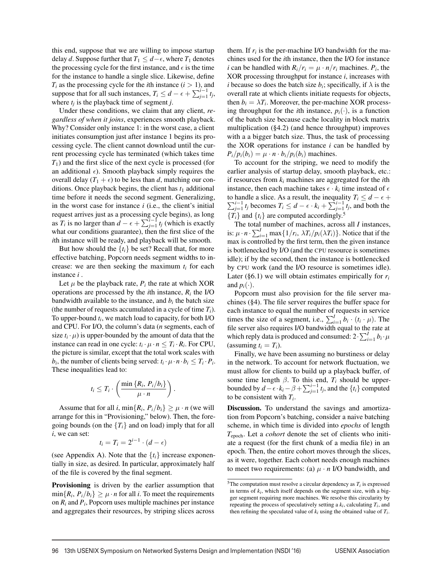this end, suppose that we are willing to impose startup delay *d*. Suppose further that  $T_1 \leq d - \epsilon$ , where  $T_1$  denotes the processing cycle for the first instance, and  $\epsilon$  is the time for the instance to handle a single slice. Likewise, define  $T_i$  as the processing cycle for the *i*th instance  $(i > 1)$ , and suppose that for all such instances,  $T_i \leq d - \epsilon + \sum_{j=1}^{i-1} t_j$ , where  $t_i$  is the playback time of segment *j*.

Under these conditions, we claim that any client, *regardless of when it joins*, experiences smooth playback. Why? Consider only instance 1: in the worst case, a client initiates consumption just after instance 1 begins its processing cycle. The client cannot download until the current processing cycle has terminated (which takes time *T*1) and the first slice of the next cycle is processed (for an additional  $\epsilon$ ). Smooth playback simply requires the overall delay  $(T_1 + \epsilon)$  to be less than *d*, matching our conditions. Once playback begins, the client has  $t_1$  additional time before it needs the second segment. Generalizing, in the worst case for instance *i* (i.e., the client's initial request arrives just as a processing cycle begins), as long as  $T_i$  is no larger than  $\hat{d} - \epsilon + \sum_{j=1}^{i-1} t_j$  (which is exactly what our conditions guarantee), then the first slice of the *i*th instance will be ready, and playback will be smooth.

But how should the  $\{t_i\}$  be set? Recall that, for more effective batching, Popcorn needs segment widths to increase: we are then seeking the maximum  $t_i$  for each instance *i* .

Let  $\mu$  be the playback rate,  $P_i$  the rate at which XOR operations are processed by the *i*th instance, *Ri* the I/O bandwidth available to the instance, and  $b_i$  the batch size (the number of requests accumulated in a cycle of time  $T_i$ ). To upper-bound *ti*, we match load to capacity, for both I/O and CPU. For I/O, the column's data (*n* segments, each of size  $t_i \cdot \mu$ ) is upper-bounded by the amount of data that the instance can read in one cycle:  $t_i \cdot \mu \cdot n \leq T_i \cdot R_i$ . For CPU, the picture is similar, except that the total work scales with *b<sub>i</sub>*, the number of clients being served:  $t_i \cdot \mu \cdot n \cdot b_i \leq T_i \cdot P_i$ . These inequalities lead to:

$$
t_i \leq T_i \cdot \left(\frac{\min\{R_i, P_i/b_i\}}{\mu \cdot n}\right).
$$

Assume that for all *i*,  $\min\{R_i, P_i/b_i\} \geq \mu \cdot n$  (we will arrange for this in "Provisioning," below). Then, the foregoing bounds (on the  ${T<sub>i</sub>}$  and on load) imply that for all *i*, we can set:

$$
t_i = T_i = 2^{i-1} \cdot (d - \epsilon)
$$

(see Appendix A). Note that the  $\{t_i\}$  increase exponentially in size, as desired. In particular, approximately half of the file is covered by the final segment.

Provisioning is driven by the earlier assumption that  $\min\{R_i, P_i/b_i\} > \mu \cdot n$  for all *i*. To meet the requirements on *Ri* and *Pi*, Popcorn uses multiple machines per instance and aggregates their resources, by striping slices across them. If  $r_i$  is the per-machine I/O bandwidth for the machines used for the *i*th instance, then the I/O for instance *i* can be handled with  $R_i/r_i = \mu \cdot n/r_i$  machines.  $P_i$ , the XOR processing throughput for instance *i*, increases with *i* because so does the batch size  $b_i$ ; specifically, if  $\lambda$  is the overall rate at which clients initiate requests for objects, then  $b_i = \lambda T_i$ . Moreover, the per-machine XOR processing throughput for the *i*th instance,  $p_i(\cdot)$ , is a function of the batch size because cache locality in block matrix multiplication (§4.2) (and hence throughput) improves with a a bigger batch size. Thus, the task of processing the XOR operations for instance *i* can be handled by  $P_i/p_i(b_i) = \mu \cdot n \cdot b_i/p_i(b_i)$  machines.

To account for the striping, we need to modify the earlier analysis of startup delay, smooth playback, etc.: if resources from *ki* machines are aggregated for the *i*th instance, then each machine takes  $\epsilon \cdot k_i$  time instead of  $\epsilon$ to handle a slice. As a result, the inequality *T<sub>i</sub>* ≤ *d* −  $\epsilon$  +  $\sum_{j=1}^{i-1} t_j$  becomes *T<sub>i</sub>* ≤ *d* −  $\epsilon$  ⋅ *k<sub>i</sub>* +  $\sum_{j=1}^{i-1} t_j$ , and both the  ${T_i}$  and  ${T_i}$  are computed accordingly.<sup>5</sup>

The total number of machines, across all *I* instances, is:  $\mu \cdot n \cdot \sum_{i=1}^{I} \max\{1/r_i, \lambda T_i/p_i(\lambda T_i)\}\)$ . Notice that if the max is controlled by the first term, then the given instance is bottlenecked by I/O (and the CPU resource is sometimes idle); if by the second, then the instance is bottlenecked by CPU work (and the I/O resource is sometimes idle). Later (§6.1) we will obtain estimates empirically for *ri* and  $p_i(\cdot)$ .

Popcorn must also provision for the file server machines (§4). The file server requires the buffer space for each instance to equal the number of requests in service times the size of a segment, i.e.,  $\sum_{i=1}^{I} b_i \cdot (t_i \cdot \mu)$ . The file server also requires I/O bandwidth equal to the rate at which reply data is produced and consumed:  $2 \cdot \sum_{i=1}^{I} b_i \cdot \mu$ (assuming  $t_i = T_i$ ).

Finally, we have been assuming no burstiness or delay in the network. To account for network fluctuation, we must allow for clients to build up a playback buffer, of some time length  $\beta$ . To this end,  $T_i$  should be upperbounded by  $d - \epsilon \cdot k_i - \beta + \sum_{j=1}^{i-1} t_j$ , and the  $\{t_i\}$  computed to be consistent with *Ti*.

Discussion. To understand the savings and amortization from Popcorn's batching, consider a naive batching scheme, in which time is divided into *epochs* of length *T*epoch. Let a *cohort* denote the set of clients who initiate a request (for the first chunk of a media file) in an epoch. Then, the entire cohort moves through the slices, as it were, together. Each cohort needs enough machines to meet two requirements: (a)  $\mu \cdot n$  I/O bandwidth, and

<sup>&</sup>lt;sup>5</sup>The computation must resolve a circular dependency as  $T_i$  is expressed in terms of *ki*, which itself depends on the segment size, with a bigger segment requiring more machines. We resolve this circularity by repeating the process of speculatively setting a  $k_i$ , calculating  $T_i$ , and then refining the speculated value of  $k_i$  using the obtained value of  $T_i$ .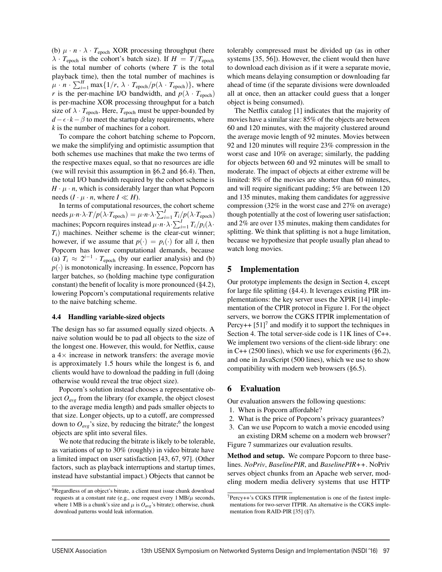(b)  $\mu \cdot n \cdot \lambda \cdot T_{\text{epoch}}$  XOR processing throughput (here  $\lambda \cdot T_{\text{epoch}}$  is the cohort's batch size). If  $H = T/T_{\text{epoch}}$ is the total number of cohorts (where *T* is the total playback time), then the total number of machines is  $\mu \cdot n \cdot \sum_{i=1}^{H} \max\{1/r, \lambda \cdot T_{\text{epoch}}/p(\lambda \cdot T_{\text{epoch}})\},$  where *r* is the per-machine I/O bandwidth, and  $p(\lambda \cdot T_{\text{epoch}})$ is per-machine XOR processing throughput for a batch size of  $\lambda \cdot T_{\text{epoch}}$ . Here,  $T_{\text{epoch}}$  must be upper-bounded by  $d - \epsilon \cdot k - \beta$  to meet the startup delay requirements, where *k* is the number of machines for a cohort.

To compare the cohort batching scheme to Popcorn, we make the simplifying and optimistic assumption that both schemes use machines that make the two terms of the respective maxes equal, so that no resources are idle (we will revisit this assumption in §6.2 and §6.4). Then, the total I/O bandwidth required by the cohort scheme is  $H \cdot \mu \cdot n$ , which is considerably larger than what Popcorn needs  $(I \cdot \mu \cdot n$ , where  $I \ll H$ ).

In terms of computational resources, the cohort scheme needs  $\mu \cdot n \cdot \lambda \cdot T / p(\lambda \cdot T_{\text{epoch}}) = \mu \cdot n \cdot \lambda \cdot \sum_{i=1}^{I} T_i / p(\lambda \cdot T_{\text{epoch}})$ machines; Popcorn requires instead  $\mu \cdot n \cdot \lambda \cdot \sum_{i=1}^{I} T_i / p_i(\lambda \cdot$ *Ti*) machines. Neither scheme is the clear-cut winner; however, if we assume that  $p(\cdot) = p_i(\cdot)$  for all *i*, then Popcorn has lower computational demands, because (a)  $T_i \approx 2^{i-1} \cdot T_{\text{epoch}}$  (by our earlier analysis) and (b)  $p(\cdot)$  is monotonically increasing. In essence, Popcorn has larger batches, so (holding machine type configuration constant) the benefit of locality is more pronounced (§4.2), lowering Popcorn's computational requirements relative to the naive batching scheme.

#### 4.4 Handling variable-sized objects

The design has so far assumed equally sized objects. A naive solution would be to pad all objects to the size of the longest one. However, this would, for Netflix, cause a  $4\times$  increase in network transfers: the average movie is approximately 1.5 hours while the longest is 6, and clients would have to download the padding in full (doing otherwise would reveal the true object size).

Popcorn's solution instead chooses a representative object  $O_{avg}$  from the library (for example, the object closest to the average media length) and pads smaller objects to that size. Longer objects, up to a cutoff, are compressed down to  $O_{avg}$ 's size, by reducing the bitrate;<sup>6</sup> the longest objects are split into several files.

We note that reducing the bitrate is likely to be tolerable, as variations of up to 30% (roughly) in video bitrate have a limited impact on user satisfaction [43, 67, 97]. (Other factors, such as playback interruptions and startup times, instead have substantial impact.) Objects that cannot be tolerably compressed must be divided up (as in other systems [35, 56]). However, the client would then have to download each division as if it were a separate movie, which means delaying consumption or downloading far ahead of time (if the separate divisions were downloaded all at once, then an attacker could guess that a longer object is being consumed).

The Netflix catalog [1] indicates that the majority of movies have a similar size: 85% of the objects are between 60 and 120 minutes, with the majority clustered around the average movie length of 92 minutes. Movies between 92 and 120 minutes will require 23% compression in the worst case and 10% on average; similarly, the padding for objects between 60 and 92 minutes will be small to moderate. The impact of objects at either extreme will be limited: 8% of the movies are shorter than 60 minutes, and will require significant padding; 5% are between 120 and 135 minutes, making them candidates for aggressive compression (32% in the worst case and 27% on average) though potentially at the cost of lowering user satisfaction; and 2% are over 135 minutes, making them candidates for splitting. We think that splitting is not a huge limitation, because we hypothesize that people usually plan ahead to watch long movies.

#### 5 Implementation

Our prototype implements the design in Section 4, except for large file splitting (§4.4). It leverages existing PIR implementations: the key server uses the XPIR [14] implementation of the CPIR protocol in Figure 1. For the object servers, we borrow the CGKS ITPIR implementation of Percy++  $[51]$ <sup>7</sup> and modify it to support the techniques in Section 4. The total server-side code is 11K lines of C++. We implement two versions of the client-side library: one in C++ (2500 lines), which we use for experiments ( $\S 6.2$ ), and one in JavaScript (500 lines), which we use to show compatibility with modern web browsers (§6.5).

#### 6 Evaluation

Our evaluation answers the following questions:

- 1. When is Popcorn affordable?
- 2. What is the price of Popcorn's privacy guarantees?
- 3. Can we use Popcorn to watch a movie encoded using an existing DRM scheme on a modern web browser? Figure 7 summarizes our evaluation results.

Method and setup. We compare Popcorn to three baselines. *NoPriv*, *BaselinePIR*, and *BaselinePIR++*. NoPriv serves object chunks from an Apache web server, modeling modern media delivery systems that use HTTP

<sup>6</sup>Regardless of an object's bitrate, a client must issue chunk download requests at a constant rate (e.g., one request every  $1 \text{ MB}/\mu$  seconds, where 1 MB is a chunk's size and  $\mu$  is  $O_{avg}$ 's bitrate); otherwise, chunk download patterns would leak information.

 $7$ Percy++'s CGKS ITPIR implementation is one of the fastest implementations for two-server ITPIR. An alternative is the CGKS implementation from RAID-PIR [35] (§7).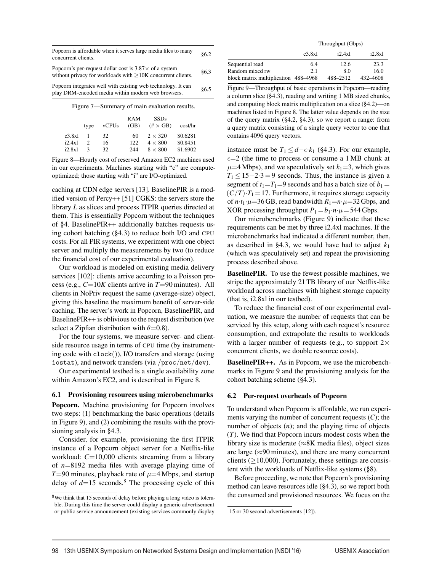| Popcorn is affordable when it serves large media files to many | 86.2 |
|----------------------------------------------------------------|------|
| concurrent clients.                                            |      |

| Popcorn's per-request dollar cost is $3.87 \times$ of a system | §6.3 |
|----------------------------------------------------------------|------|
| without privacy for workloads with $>10K$ concurrent clients.  |      |

Popcorn integrates well with existing web technology. It can play DRM-encoded media within modern web browsers. §6.5

Figure 7—Summary of main evaluation results.

|        | type         | vCPUs | RAM<br>(GB) | <b>SSDs</b><br>$(\# \times GB)$ | cost/hr  |
|--------|--------------|-------|-------------|---------------------------------|----------|
| c3.8x1 | -1           | 32    | 60          | $2 \times 320$                  | \$0.6281 |
| i2.4x1 |              | 16    | 122         | $4 \times 800$                  | \$0.8451 |
| i2.8x1 | $\mathbf{R}$ | 32    | 244         | $8 \times 800$                  | \$1.6902 |

Figure 8—Hourly cost of reserved Amazon EC2 machines used in our experiments. Machines starting with "c" are computeoptimized; those starting with "i" are I/O-optimized.

caching at CDN edge servers [13]. BaselinePIR is a modified version of Percy++ [51] CGKS: the servers store the library *L* as slices and process ITPIR queries directed at them. This is essentially Popcorn without the techniques of §4. BaselinePIR++ additionally batches requests using cohort batching (§4.3) to reduce both I/O and CPU costs. For all PIR systems, we experiment with one object server and multiply the measurements by two (to reduce the financial cost of our experimental evaluation).

Our workload is modeled on existing media delivery services [102]: clients arrive according to a Poisson process (e.g., *C*=10*K* clients arrive in *T*=90 minutes). All clients in NoPriv request the same (average-size) object, giving this baseline the maximum benefit of server-side caching. The server's work in Popcorn, BaselinePIR, and BaselinePIR++ is oblivious to the request distribution (we select a Zipfian distribution with  $\theta$ =0.8).

For the four systems, we measure server- and clientside resource usage in terms of CPU time (by instrumenting code with clock()), I/O transfers and storage (using iostat), and network transfers (via /proc/net/dev).

Our experimental testbed is a single availability zone within Amazon's EC2, and is described in Figure 8.

#### 6.1 Provisioning resources using microbenchmarks

Popcorn. Machine provisioning for Popcorn involves two steps: (1) benchmarking the basic operations (details in Figure 9), and (2) combining the results with the provisioning analysis in §4.3.

Consider, for example, provisioning the first ITPIR instance of a Popcorn object server for a Netflix-like workload: *C*=10,000 clients streaming from a library of *n*=8192 media files with average playing time of *T*=90 minutes, playback rate of  $\mu$ =4 Mbps, and startup delay of  $d=15$  seconds.<sup>8</sup> The processing cycle of this

| Throughput (Gbps) |  |
|-------------------|--|
|-------------------|--|

| c3.8x1                               | i2.4x1   | i2.8x1   |
|--------------------------------------|----------|----------|
| 6.4                                  | 12.6     | 23.3     |
| 2.1                                  | 80       | 16.0     |
| block matrix multiplication 488–4968 | 488-2512 | 432-4608 |
|                                      |          |          |

Figure 9—Throughput of basic operations in Popcorn—reading a column slice (§4.3), reading and writing 1 MB sized chunks, and computing block matrix multiplication on a slice (§4.2)—on machines listed in Figure 8. The latter value depends on the size of the query matrix (§4.2, §4.3), so we report a range: from a query matrix consisting of a single query vector to one that contains 4096 query vectors.

instance must be  $T_1 \leq d - \epsilon \cdot k_1$  (§4.3). For our example,  $\epsilon$ =2 (the time to process or consume a 1 MB chunk at  $\mu$ =4 Mbps), and we speculatively set  $k_1$ =3, which gives  $T_1 \le 15-2.3=9$  seconds. Thus, the instance is given a segment of  $t_1=T_1=9$  seconds and has a batch size of  $b_1=$  $(C/T) \cdot T_1 = 17$ . Furthermore, it requires storage capacity of  $n \cdot t_1 \cdot \mu = 36$  GB, read bandwidth  $R_1 = n \cdot \mu = 32$  Gbps, and XOR processing throughput  $P_1 = b_1 \cdot n \cdot \mu = 544$  Gbps.

Our microbenchmarks (Figure 9) indicate that these requirements can be met by three i2.4xl machines. If the microbenchmarks had indicated a different number, then, as described in §4.3, we would have had to adjust  $k_1$ (which was speculatively set) and repeat the provisioning process described above.

BaselinePIR. To use the fewest possible machines, we stripe the approximately 21 TB library of our Netflix-like workload across machines with highest storage capacity (that is, i2.8xl in our testbed).

To reduce the financial cost of our experimental evaluation, we measure the number of requests that can be serviced by this setup, along with each request's resource consumption, and extrapolate the results to workloads with a larger number of requests (e.g., to support  $2\times$ concurrent clients, we double resource costs).

BaselinePIR++. As in Popcorn, we use the microbenchmarks in Figure 9 and the provisioning analysis for the cohort batching scheme (§4.3).

#### 6.2 Per-request overheads of Popcorn

To understand when Popcorn is affordable, we run experiments varying the number of concurrent requests (*C*); the number of objects (*n*); and the playing time of objects (*T*). We find that Popcorn incurs modest costs when the library size is moderate ( $\approx$ 8K media files), object sizes are large  $(\approx 90 \text{ minutes})$ , and there are many concurrent clients ( $\geq$ 10,000). Fortunately, these settings are consistent with the workloads of Netflix-like systems (§8).

Before proceeding, we note that Popcorn's provisioning method can leave resources idle (§4.3), so we report both the consumed and provisioned resources. We focus on the

<sup>&</sup>lt;sup>8</sup>We think that 15 seconds of delay before playing a long video is tolerable. During this time the server could display a generic advertisement or public service announcement (existing services commonly display

<sup>15</sup> or 30 second advertisements [12]).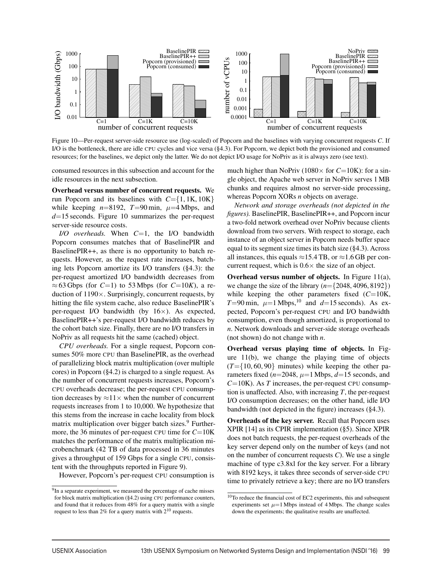

Figure 10—Per-request server-side resource use (log-scaled) of Popcorn and the baselines with varying concurrent requests *C*. If I/O is the bottleneck, there are idle CPU cycles and vice versa (§4.3). For Popcorn, we depict both the provisioned and consumed resources; for the baselines, we depict only the latter. We do not depict I/O usage for NoPriv as it is always zero (see text).

consumed resources in this subsection and account for the idle resources in the next subsection.

Overhead versus number of concurrent requests. We run Popcorn and its baselines with  $C = \{1, 1K, 10K\}$ while keeping  $n=8192$ ,  $T=90$  min,  $\mu=4$  Mbps, and *d*=15 seconds. Figure 10 summarizes the per-request server-side resource costs.

*I/O overheads.* When *C*=1, the I/O bandwidth Popcorn consumes matches that of BaselinePIR and BaselinePIR++, as there is no opportunity to batch requests. However, as the request rate increases, batching lets Popcorn amortize its I/O transfers (§4.3): the per-request amortized I/O bandwidth decreases from  $\approx$  63 Gbps (for *C*=1) to 53 Mbps (for *C*=10*K*), a reduction of 1190×. Surprisingly, concurrent requests, by hitting the file system cache, also reduce BaselinePIR's per-request I/O bandwidth (by  $16\times$ ). As expected, BaselinePIR++'s per-request I/O bandwidth reduces by the cohort batch size. Finally, there are no I/O transfers in NoPriv as all requests hit the same (cached) object.

*CPU overheads.* For a single request, Popcorn consumes 50% more CPU than BaselinePIR, as the overhead of parallelizing block matrix multiplication (over multiple cores) in Popcorn (§4.2) is charged to a single request. As the number of concurrent requests increases, Popcorn's CPU overheads decrease; the per-request CPU consumption decreases by  $\approx$ 11 $\times$  when the number of concurrent requests increases from 1 to 10,000. We hypothesize that this stems from the increase in cache locality from block matrix multiplication over bigger batch sizes.<sup>9</sup> Furthermore, the 36 minutes of per-request CPU time for *C*=10K matches the performance of the matrix multiplication microbenchmark (42 TB of data processed in 36 minutes gives a throughput of 159 Gbps for a single CPU, consistent with the throughputs reported in Figure 9).

However, Popcorn's per-request CPU consumption is

much higher than NoPriv (1080 $\times$  for *C*=10K): for a single object, the Apache web server in NoPriv serves 1 MB chunks and requires almost no server-side processing, whereas Popcorn XORs *n* objects on average.

*Network and storage overheads (not depicted in the figures).* BaselinePIR, BaselinePIR++, and Popcorn incur a two-fold network overhead over NoPriv because clients download from two servers. With respect to storage, each instance of an object server in Popcorn needs buffer space equal to its segment size times its batch size (§4.3). Across all instances, this equals  $\approx$ 15.4 TB, or  $\approx$ 1.6 GB per concurrent request, which is  $0.6 \times$  the size of an object.

Overhead versus number of objects. In Figure 11(a), we change the size of the library (*n*={2048, 4096, 8192}) while keeping the other parameters fixed (*C*=10K, *T*=90 min,  $\mu$ =1 Mbps,<sup>10</sup> and *d*=15 seconds). As expected, Popcorn's per-request CPU and I/O bandwidth consumption, even though amortized, is proportional to *n*. Network downloads and server-side storage overheads (not shown) do not change with *n*.

Overhead versus playing time of objects. In Figure 11(b), we change the playing time of objects  $(T=\{10, 60, 90\})$  minutes) while keeping the other parameters fixed  $(n=2048, \mu=1$  Mbps,  $d=15$  seconds, and  $C=10K$ ). As *T* increases, the per-request CPU consumption is unaffected. Also, with increasing *T*, the per-request I/O consumption decreases; on the other hand, idle I/O bandwidth (not depicted in the figure) increases (§4.3).

Overheads of the key server. Recall that Popcorn uses XPIR [14] as its CPIR implementation (§5). Since XPIR does not batch requests, the per-request overheads of the key server depend only on the number of keys (and not on the number of concurrent requests *C*). We use a single machine of type c3.8xl for the key server. For a library with 8192 keys, it takes three seconds of server-side CPU time to privately retrieve a key; there are no I/O transfers

<sup>&</sup>lt;sup>9</sup>In a separate experiment, we measured the percentage of cache misses for block matrix multiplication (§4.2) using CPU performance counters, and found that it reduces from 48% for a query matrix with a single request to less than 2% for a query matrix with 210 requests.

 $10$ To reduce the financial cost of EC2 experiments, this and subsequent experiments set  $\mu$ =1 Mbps instead of 4 Mbps. The change scales down the experiments; the qualitative results are unaffected.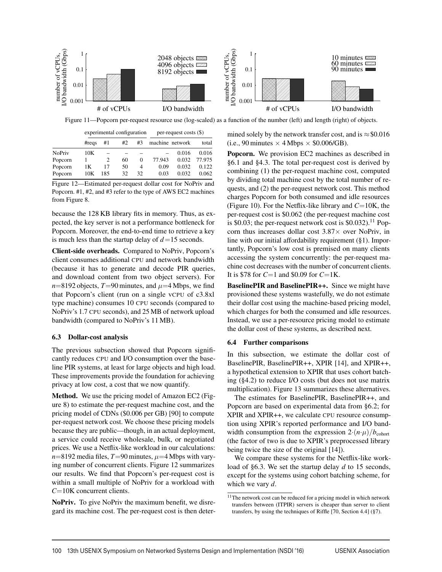

Figure 11—Popcorn per-request resource use (log-scaled) as a function of the number (left) and length (right) of objects.

|               |                    | experimental configuration |    |    | $per-request costs (\$)$ |       |        |
|---------------|--------------------|----------------------------|----|----|--------------------------|-------|--------|
|               | $\#_{\text{reas}}$ | #1                         | #2 | #3 | machine network          |       | total  |
| <b>NoPriv</b> | 10K                |                            |    |    |                          | 0.016 | 0.016  |
| Popcorn       |                    | 2                          | 60 | 0  | 77.943                   | 0.032 | 77.975 |
| Popcorn       | 1Κ                 | 17                         | 50 | 4  | 0.09                     | 0.032 | 0.122  |
| Popcorn       | 10K                | 185                        | 32 | 32 | 0.03                     | 0.032 | 0.062  |

Figure 12—Estimated per-request dollar cost for NoPriv and Popcorn. #1, #2, and #3 refer to the type of AWS EC2 machines from Figure 8.

because the 128 KB library fits in memory. Thus, as expected, the key server is not a performance bottleneck for Popcorn. Moreover, the end-to-end time to retrieve a key is much less than the startup delay of *d*=15 seconds.

Client-side overheads. Compared to NoPriv, Popcorn's client consumes additional CPU and network bandwidth (because it has to generate and decode PIR queries, and download content from two object servers). For  $n=8192$  objects,  $T=90$  minutes, and  $\mu=4$  Mbps, we find that Popcorn's client (run on a single vCPU of c3.8xl type machine) consumes 10 CPU seconds (compared to NoPriv's 1.7 CPU seconds), and 25 MB of network upload bandwidth (compared to NoPriv's 11 MB).

#### 6.3 Dollar-cost analysis

The previous subsection showed that Popcorn significantly reduces CPU and I/O consumption over the baseline PIR systems, at least for large objects and high load. These improvements provide the foundation for achieving privacy at low cost, a cost that we now quantify.

Method. We use the pricing model of Amazon EC2 (Figure 8) to estimate the per-request machine cost, and the pricing model of CDNs (\$0.006 per GB) [90] to compute per-request network cost. We choose these pricing models because they are public—though, in an actual deployment, a service could receive wholesale, bulk, or negotiated prices. We use a Netflix-like workload in our calculations:  $n=8192$  media files,  $T=90$  minutes,  $\mu=4$  Mbps with varying number of concurrent clients. Figure 12 summarizes our results. We find that Popcorn's per-request cost is within a small multiple of NoPriv for a workload with *C*=10K concurrent clients.

NoPriv. To give NoPriv the maximum benefit, we disregard its machine cost. The per-request cost is then determined solely by the network transfer cost, and is  $\approx$  \$0.016 (i.e., 90 minutes  $\times$  4 Mbps  $\times$  \$0.006/GB).

Popcorn. We provision EC2 machines as described in §6.1 and §4.3. The total per-request cost is derived by combining (1) the per-request machine cost, computed by dividing total machine cost by the total number of requests, and (2) the per-request network cost. This method charges Popcorn for both consumed and idle resources (Figure 10). For the Netflix-like library and *C*=10K, the per-request cost is \$0.062 (the per-request machine cost is  $$0.03$ ; the per-request network cost is  $$0.032$ ).<sup>11</sup> Popcorn thus increases dollar cost  $3.87\times$  over NoPriv, in line with our initial affordability requirement (§1). Importantly, Popcorn's low cost is premised on many clients accessing the system concurrently: the per-request machine cost decreases with the number of concurrent clients. It is \$78 for *C*=1 and \$0.09 for *C*=1K.

BaselinePIR and BaselinePIR++. Since we might have provisioned these systems wastefully, we do not estimate their dollar cost using the machine-based pricing model, which charges for both the consumed and idle resources. Instead, we use a per-resource pricing model to estimate the dollar cost of these systems, as described next.

#### 6.4 Further comparisons

In this subsection, we estimate the dollar cost of BaselinePIR, BaselinePIR++, XPIR [14], and XPIR++, a hypothetical extension to XPIR that uses cohort batching (§4.2) to reduce I/O costs (but does not use matrix multiplication). Figure 13 summarizes these alternatives.

The estimates for BaselinePIR, BaselinePIR++, and Popcorn are based on experimental data from §6.2; for XPIR and XPIR++, we calculate CPU resource consumption using XPIR's reported performance and I/O bandwidth consumption from the expression  $2 \cdot (n \cdot \mu)/b_{\text{cohort}}$ (the factor of two is due to XPIR's preprocessed library being twice the size of the original [14]).

We compare these systems for the Netflix-like workload of §6.3. We set the startup delay *d* to 15 seconds, except for the systems using cohort batching scheme, for which we vary *d*.

 $11$ The network cost can be reduced for a pricing model in which network transfers between (ITPIR) servers is cheaper than server to client transfers, by using the techniques of Riffle [70, Section 4.4] (§7).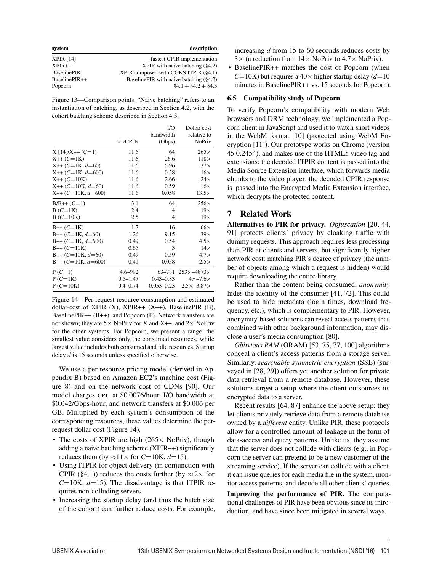| system             | description                            |
|--------------------|----------------------------------------|
| <b>XPIR [14]</b>   | fastest CPIR implementation            |
| $XPIR++$           | XPIR with naive batching $(§4.2)$      |
| <b>BaselinePIR</b> | XPIR composed with CGKS ITPIR (§4.1)   |
| BaselinePIR++      | BaselinePIR with naive batching (§4.2) |
| Popcorn            | $§4.1 + \$4.2 + \$4.3$                 |

Figure 13—Comparison points. "Naive batching" refers to an instantiation of batching, as described in Section 4.2, with the cohort batching scheme described in Section 4.3.

|                      |              | I/O            | Dollar cost               |
|----------------------|--------------|----------------|---------------------------|
|                      |              | bandwidth      | relative to               |
|                      | # vCPUs      | (Gbps)         | NoPriv                    |
| $X[14]/X++$ (C=1)    | 11.6         | 64             | $265\times$               |
| $X++$ ( $C=1K$ )     | 11.6         | 26.6           | $118\times$               |
| $X++$ (C=1K, d=60)   | 11.6         | 5.96           | $37\times$                |
| $X++$ (C=1K, d=600)  | 11.6         | 0.58           | $16\times$                |
| $X++$ ( $C=10K$ )    | 11.6         | 2.66           | $24\times$                |
| $X++$ (C=10K, d=60)  | 11.6         | 0.59           | $16\times$                |
| $X++$ (C=10K, d=600) | 11.6         | 0.058          | $13.5\times$              |
| $B/B++$ (C=1)        | 3.1          | 64             | $256\times$               |
| $B(C=1K)$            | 2.4          | $\overline{4}$ | $19\times$                |
| $B(C=10K)$           | 2.5          | 4              | $19\times$                |
| $B++$ (C=1K)         | 1.7          | 16             | $66\times$                |
| $B++$ (C=1K, d=60)   | 1.26         | 9.15           | $39\times$                |
| $B++ (C=1K, d=600)$  | 0.49         | 0.54           | $4.5\times$               |
| $B++$ ( $C=10K$ )    | 0.65         | 3              | $14\times$                |
| $B++ (C=10K, d=60)$  | 0.49         | 0.59           | $4.7\times$               |
| $B++ (C=10K, d=600)$ | 0.41         | 0.058          | $2.5\times$               |
| $P(C=1)$             | $4.6 - 992$  | 63-781         | $253\times -4873\times$   |
| $P(C=1K)$            | $0.5 - 1.47$ | $0.43 - 0.83$  | $4\times -7.6\times$      |
| $P(C=10K)$           | $0.4 - 0.74$ | $0.053 - 0.23$ | $2.5 \times -3.87 \times$ |

Figure 14—Per-request resource consumption and estimated dollar-cost of XPIR  $(X)$ , XPIR++  $(X++)$ , BaselinePIR  $(B)$ , BaselinePIR++ (B++), and Popcorn (P). Network transfers are not shown; they are  $5 \times$  NoPriv for X and X++, and  $2 \times$  NoPriv for the other systems. For Popcorn, we present a range: the smallest value considers only the consumed resources, while largest value includes both consumed and idle resources. Startup delay *d* is 15 seconds unless specified otherwise.

We use a per-resource pricing model (derived in Appendix B) based on Amazon EC2's machine cost (Figure 8) and on the network cost of CDNs [90]. Our model charges CPU at \$0.0076/hour, I/O bandwidth at \$0.042/Gbps-hour, and network transfers at \$0.006 per GB. Multiplied by each system's consumption of the corresponding resources, these values determine the perrequest dollar cost (Figure 14).

- The costs of XPIR are high ( $265 \times$  NoPriv), though adding a naive batching scheme (XPIR++) significantly reduces them (by  $\approx$ 11× for *C*=10K, *d*=15).
- Using ITPIR for object delivery (in conjunction with CPIR (§4.1)) reduces the costs further (by  $\approx$  2 $\times$  for  $C=10$ K,  $d=15$ ). The disadvantage is that ITPIR requires non-colluding servers.
- Increasing the startup delay (and thus the batch size of the cohort) can further reduce costs. For example,

increasing *d* from 15 to 60 seconds reduces costs by  $3\times$  (a reduction from  $14\times$  NoPriv to  $4.7\times$  NoPriv).

• BaselinePIR++ matches the cost of Popcorn (when  $C=10K$ ) but requires a  $40\times$  higher startup delay  $(d=10)$ minutes in BaselinePIR++ vs. 15 seconds for Popcorn).

## 6.5 Compatibility study of Popcorn

To verify Popcorn's compatibility with modern Web browsers and DRM technology, we implemented a Popcorn client in JavaScript and used it to watch short videos in the WebM format [10] (protected using WebM Encryption [11]). Our prototype works on Chrome (version 45.0.2454), and makes use of the HTML5 video tag and extensions: the decoded ITPIR content is passed into the Media Source Extension interface, which forwards media chunks to the video player; the decoded CPIR response is passed into the Encrypted Media Extension interface, which decrypts the protected content.

## 7 Related Work

Alternatives to PIR for privacy. *Obfuscation* [20, 44, 91] protects clients' privacy by cloaking traffic with dummy requests. This approach requires less processing than PIR at clients and servers, but significantly higher network cost: matching PIR's degree of privacy (the number of objects among which a request is hidden) would require downloading the entire library.

Rather than the content being consumed, *anonymity* hides the identity of the consumer [41, 72]. This could be used to hide metadata (login times, download frequency, etc.), which is complementary to PIR. However, anonymity-based solutions can reveal access patterns that, combined with other background information, may disclose a user's media consumption [80].

*Oblivious RAM* (ORAM) [53, 75, 77, 100] algorithms conceal a client's access patterns from a storage server. Similarly, *searchable symmetric encryption* (SSE) (surveyed in [28, 29]) offers yet another solution for private data retrieval from a remote database. However, these solutions target a setup where the client outsources its encrypted data to a server.

Recent results [64, 87] enhance the above setup: they let clients privately retrieve data from a remote database owned by a *different* entity. Unlike PIR, these protocols allow for a controlled amount of leakage in the form of data-access and query patterns. Unlike us, they assume that the server does not collude with clients (e.g., in Popcorn the server can pretend to be a new customer of the streaming service). If the server can collude with a client, it can issue queries for each media file in the system, monitor access patterns, and decode all other clients' queries.

Improving the performance of PIR. The computational challenges of PIR have been obvious since its introduction, and have since been mitigated in several ways.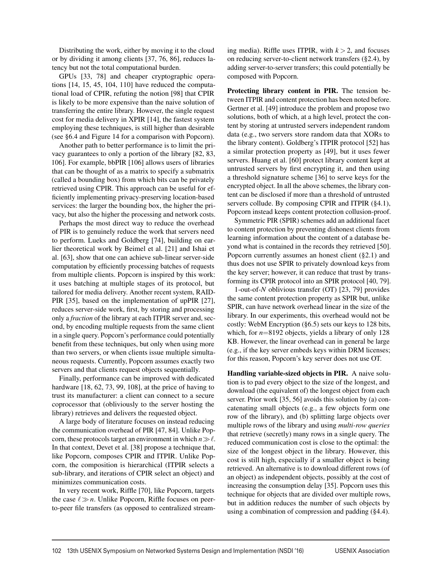Distributing the work, either by moving it to the cloud or by dividing it among clients [37, 76, 86], reduces latency but not the total computational burden.

GPUs [33, 78] and cheaper cryptographic operations [14, 15, 45, 104, 110] have reduced the computational load of CPIR, refuting the notion [98] that CPIR is likely to be more expensive than the naive solution of transferring the entire library. However, the single request cost for media delivery in XPIR [14], the fastest system employing these techniques, is still higher than desirable (see §6.4 and Figure 14 for a comparison with Popcorn).

Another path to better performance is to limit the privacy guarantees to only a portion of the library [82, 83, 106]. For example, bbPIR [106] allows users of libraries that can be thought of as a matrix to specify a submatrix (called a bounding box) from which bits can be privately retrieved using CPIR. This approach can be useful for efficiently implementing privacy-preserving location-based services: the larger the bounding box, the higher the privacy, but also the higher the processing and network costs.

Perhaps the most direct way to reduce the overhead of PIR is to genuinely reduce the work that servers need to perform. Lueks and Goldberg [74], building on earlier theoretical work by Beimel et al. [21] and Ishai et al. [63], show that one can achieve sub-linear server-side computation by efficiently processing batches of requests from multiple clients. Popcorn is inspired by this work: it uses batching at multiple stages of its protocol, but tailored for media delivery. Another recent system, RAID-PIR [35], based on the implementation of upPIR [27], reduces server-side work, first, by storing and processing only a *fraction* of the library at each ITPIR server and, second, by encoding multiple requests from the same client in a single query. Popcorn's performance could potentially benefit from these techniques, but only when using more than two servers, or when clients issue multiple simultaneous requests. Currently, Popcorn assumes exactly two servers and that clients request objects sequentially.

Finally, performance can be improved with dedicated hardware [18, 62, 73, 99, 108], at the price of having to trust its manufacturer: a client can connect to a secure coprocessor that (obliviously to the server hosting the library) retrieves and delivers the requested object.

A large body of literature focuses on instead reducing the communication overhead of PIR [47, 84]. Unlike Popcorn, these protocols target an environment in which  $n \gg \ell$ . In that context, Devet et al. [38] propose a technique that, like Popcorn, composes CPIR and ITPIR. Unlike Popcorn, the composition is hierarchical (ITPIR selects a sub-library, and iterations of CPIR select an object) and minimizes communication costs.

In very recent work, Riffle [70], like Popcorn, targets the case  $\ell \gg n$ . Unlike Popcorn, Riffle focuses on peerto-peer file transfers (as opposed to centralized streaming media). Riffle uses ITPIR, with  $k > 2$ , and focuses on reducing server-to-client network transfers (§2.4), by adding server-to-server transfers; this could potentially be composed with Popcorn.

Protecting library content in PIR. The tension between ITPIR and content protection has been noted before. Gertner et al. [49] introduce the problem and propose two solutions, both of which, at a high level, protect the content by storing at untrusted servers independent random data (e.g., two servers store random data that XORs to the library content). Goldberg's ITPIR protocol [52] has a similar protection property as [49], but it uses fewer servers. Huang et al. [60] protect library content kept at untrusted servers by first encrypting it, and then using a threshold signature scheme [36] to serve keys for the encrypted object. In all the above schemes, the library content can be disclosed if more than a threshold of untrusted servers collude. By composing CPIR and ITPIR (§4.1), Popcorn instead keeps content protection collusion-proof.

Symmetric PIR (SPIR) schemes add an additional facet to content protection by preventing dishonest clients from learning information about the content of a database beyond what is contained in the records they retrieved [50]. Popcorn currently assumes an honest client (§2.1) and thus does not use SPIR to privately download keys from the key server; however, it can reduce that trust by transforming its CPIR protocol into an SPIR protocol [40, 79].

1-out-of-*N* oblivious transfer (OT) [23, 79] provides the same content protection property as SPIR but, unlike SPIR, can have network overhead linear in the size of the library. In our experiments, this overhead would not be costly: WebM Encryption (§6.5) sets our keys to 128 bits, which, for  $n=8192$  objects, yields a library of only 128 KB. However, the linear overhead can in general be large (e.g., if the key server embeds keys within DRM licenses; for this reason, Popcorn's key server does not use OT.

Handling variable-sized objects in PIR. A naive solution is to pad every object to the size of the longest, and download (the equivalent of) the longest object from each server. Prior work [35, 56] avoids this solution by (a) concatenating small objects (e.g., a few objects form one row of the library), and (b) splitting large objects over multiple rows of the library and using *multi-row queries* that retrieve (secretly) many rows in a single query. The reduced communication cost is close to the optimal: the size of the longest object in the library. However, this cost is still high, especially if a smaller object is being retrieved. An alternative is to download different rows (of an object) as independent objects, possibly at the cost of increasing the consumption delay [35]. Popcorn uses this technique for objects that are divided over multiple rows, but in addition reduces the number of such objects by using a combination of compression and padding (§4.4).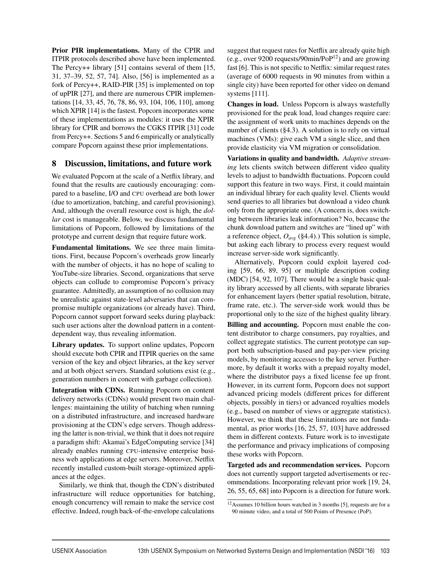Prior PIR implementations. Many of the CPIR and ITPIR protocols described above have been implemented. The Percy++ library [51] contains several of them [15, 31, 37–39, 52, 57, 74]. Also, [56] is implemented as a fork of Percy++, RAID-PIR [35] is implemented on top of upPIR [27], and there are numerous CPIR implementations [14, 33, 45, 76, 78, 86, 93, 104, 106, 110], among which XPIR [14] is the fastest. Popcorn incorporates some of these implementations as modules: it uses the XPIR library for CPIR and borrows the CGKS ITPIR [31] code from Percy++. Sections 5 and 6 empirically or analytically compare Popcorn against these prior implementations.

## 8 Discussion, limitations, and future work

We evaluated Popcorn at the scale of a Netflix library, and found that the results are cautiously encouraging: compared to a baseline, I/O and CPU overhead are both lower (due to amortization, batching, and careful provisioning). And, although the overall resource cost is high, the *dollar* cost is manageable. Below, we discuss fundamental limitations of Popcorn, followed by limitations of the prototype and current design that require future work.

Fundamental limitations. We see three main limitations. First, because Popcorn's overheads grow linearly with the number of objects, it has no hope of scaling to YouTube-size libraries. Second, organizations that serve objects can collude to compromise Popcorn's privacy guarantee. Admittedly, an assumption of no collusion may be unrealistic against state-level adversaries that can compromise multiple organizations (or already have). Third, Popcorn cannot support forward seeks during playback: such user actions alter the download pattern in a contentdependent way, thus revealing information.

Library updates. To support online updates, Popcorn should execute both CPIR and ITPIR queries on the same version of the key and object libraries, at the key server and at both object servers. Standard solutions exist (e.g., generation numbers in concert with garbage collection).

Integration with CDNs. Running Popcorn on content delivery networks (CDNs) would present two main challenges: maintaining the utility of batching when running on a distributed infrastructure, and increased hardware provisioning at the CDN's edge servers. Though addressing the latter is non-trivial, we think that it does not require a paradigm shift: Akamai's EdgeComputing service [34] already enables running CPU-intensive enterprise business web applications at edge servers. Moreover, Netflix recently installed custom-built storage-optimized appliances at the edges.

Similarly, we think that, though the CDN's distributed infrastructure will reduce opportunities for batching, enough concurrency will remain to make the service cost effective. Indeed, rough back-of-the-envelope calculations

suggest that request rates for Netflix are already quite high (e.g., over 9200 requests/90 $\text{min/PoP}^{12}$ ) and are growing fast [6]. This is not specific to Netflix: similar request rates (average of 6000 requests in 90 minutes from within a single city) have been reported for other video on demand systems [111].

Changes in load. Unless Popcorn is always wastefully provisioned for the peak load, load changes require care: the assignment of work units to machines depends on the number of clients (§4.3). A solution is to rely on virtual machines (VMs): give each VM a single slice, and then provide elasticity via VM migration or consolidation.

Variations in quality and bandwidth. *Adaptive streaming* lets clients switch between different video quality levels to adjust to bandwidth fluctuations. Popcorn could support this feature in two ways. First, it could maintain an individual library for each quality level. Clients would send queries to all libraries but download a video chunk only from the appropriate one. (A concern is, does switching between libraries leak information? No, because the chunk download pattern and switches are "lined up" with a reference object,  $O_{avg}$  (§4.4).) This solution is simple, but asking each library to process every request would increase server-side work significantly.

Alternatively, Popcorn could exploit layered coding [59, 66, 89, 95] or multiple description coding (MDC) [54, 92, 107]. There would be a single basic quality library accessed by all clients, with separate libraries for enhancement layers (better spatial resolution, bitrate, frame rate, etc.). The server-side work would thus be proportional only to the size of the highest quality library.

Billing and accounting. Popcorn must enable the content distributor to charge consumers, pay royalties, and collect aggregate statistics. The current prototype can support both subscription-based and pay-per-view pricing models, by monitoring accesses to the key server. Furthermore, by default it works with a prepaid royalty model, where the distributor pays a fixed license fee up front. However, in its current form, Popcorn does not support advanced pricing models (different prices for different objects, possibly in tiers) or advanced royalties models (e.g., based on number of views or aggregate statistics). However, we think that these limitations are not fundamental, as prior works [16, 25, 57, 103] have addressed them in different contexts. Future work is to investigate the performance and privacy implications of composing these works with Popcorn.

Targeted ads and recommendation services. Popcorn does not currently support targeted advertisements or recommendations. Incorporating relevant prior work [19, 24, 26, 55, 65, 68] into Popcorn is a direction for future work.

<sup>12</sup>Assumes 10 billion hours watched in 3 months [5], requests are for a 90 minute video, and a total of 500 Points of Presence (PoP).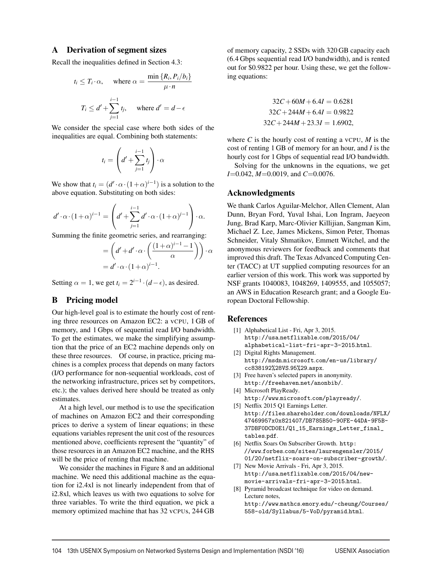### A Derivation of segment sizes

Recall the inequalities defined in Section 4.3:

$$
t_i \leq T_i \cdot \alpha
$$
, where  $\alpha = \frac{\min \{R_i, P_i/b_i\}}{\mu \cdot n}$   
 $T_i \leq d' + \sum_{j=1}^{i-1} t_j$ , where  $d' = d - \epsilon$ 

We consider the special case where both sides of the inequalities are equal. Combining both statements:

$$
t_i = \left(d' + \sum_{j=1}^{i-1} t_j\right) \cdot \alpha
$$

We show that  $t_i = (d' \cdot \alpha \cdot (1+\alpha)^{i-1})$  is a solution to the above equation. Substituting on both sides:

$$
d' \cdot \alpha \cdot (1+\alpha)^{i-1} = \left(d' + \sum_{j=1}^{i-1} d' \cdot \alpha \cdot (1+\alpha)^{j-1}\right) \cdot \alpha.
$$

Summing the finite geometric series, and rearranging:

$$
= \left(d' + d' \cdot \alpha \cdot \left(\frac{(1+\alpha)^{i-1}-1}{\alpha}\right)\right) \cdot \alpha
$$

$$
= d' \cdot \alpha \cdot (1+\alpha)^{i-1}.
$$

Setting  $\alpha = 1$ , we get  $t_i = 2^{i-1} \cdot (d - \epsilon)$ , as desired.

## B Pricing model

Our high-level goal is to estimate the hourly cost of renting three resources on Amazon EC2: a vCPU, 1 GB of memory, and 1 Gbps of sequential read I/O bandwidth. To get the estimates, we make the simplifying assumption that the price of an EC2 machine depends only on these three resources. Of course, in practice, pricing machines is a complex process that depends on many factors (I/O performance for non-sequential workloads, cost of the networking infrastructure, prices set by competitors, etc.); the values derived here should be treated as only estimates.

At a high level, our method is to use the specification of machines on Amazon EC2 and their corresponding prices to derive a system of linear equations; in these equations variables represent the unit cost of the resources mentioned above, coefficients represent the "quantity" of those resources in an Amazon EC2 machine, and the RHS will be the price of renting that machine.

We consider the machines in Figure 8 and an additional machine. We need this additional machine as the equation for i2.4xl is not linearly independent from that of i2.8xl, which leaves us with two equations to solve for three variables. To write the third equation, we pick a memory optimized machine that has 32 vCPUs, 244 GB

of memory capacity, 2 SSDs with 320 GB capacity each (6.4 Gbps sequential read I/O bandwidth), and is rented out for \$0.9822 per hour. Using these, we get the following equations:

$$
32C + 60M + 6.4I = 0.6281
$$
  

$$
32C + 244M + 6.4I = 0.9822
$$
  

$$
32C + 244M + 23.3I = 1.6902,
$$

where  $C$  is the hourly cost of renting a vCPU,  $M$  is the cost of renting 1 GB of memory for an hour, and *I* is the hourly cost for 1 Gbps of sequential read I/O bandwidth.

Solving for the unknowns in the equations, we get *I*=0.042, *M*=0.0019, and *C*=0.0076.

#### Acknowledgments

We thank Carlos Aguilar-Melchor, Allen Clement, Alan Dunn, Bryan Ford, Yuval Ishai, Lon Ingram, Jaeyeon Jung, Brad Karp, Marc-Olivier Killijian, Sangman Kim, Michael Z. Lee, James Mickens, Simon Peter, Thomas Schneider, Vitaly Shmatikov, Emmett Witchel, and the anonymous reviewers for feedback and comments that improved this draft. The Texas Advanced Computing Center (TACC) at UT supplied computing resources for an earlier version of this work. This work was supported by NSF grants 1040083, 1048269, 1409555, and 1055057; an AWS in Education Research grant; and a Google European Doctoral Fellowship.

#### References

- [1] Alphabetical List Fri, Apr 3, 2015. http://usa.netflixable.com/2015/04/ alphabetical-list-fri-apr-3-2015.html.
- [2] Digital Rights Management. http://msdn.microsoft.com/en-us/library/ cc838192%28VS.95%29.aspx.
- [3] Free haven's selected papers in anonymity. http://freehaven.net/anonbib/.
- [4] Microsoft PlayReady. http://www.microsoft.com/playready/.
- [5] Netflix 2015 Q1 Earnings Letter. http://files.shareholder.com/downloads/NFLX/ 47469957x0x821407/DB785B50-90FE-44DA-9F5B-37DBF0DCD0E1/Q1\_15\_Earnings\_Letter\_final\_ tables.pdf.
- [6] Netflix Soars On Subscriber Growth. http: //www.forbes.com/sites/laurengensler/2015/ 01/20/netflix-soars-on-subscriber-growth/.
- [7] New Movie Arrivals Fri, Apr 3, 2015. http://usa.netflixable.com/2015/04/newmovie-arrivals-fri-apr-3-2015.html.
- [8] Pyramid broadcast technique for video on demand. Lecture notes, http://www.mathcs.emory.edu/~cheung/Courses/

558-old/Syllabus/5-VoD/pyramid.html.

104 13th USENIX Symposium on Networked Systems Design and Implementation (NSDI '16) USENIX Association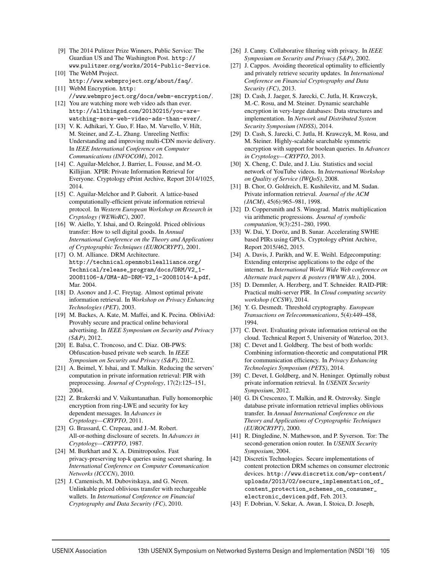- [9] The 2014 Pulitzer Prize Winners, Public Service: The Guardian US and The Washington Post. http:// www.pulitzer.org/works/2014-Public-Service.
- [10] The WebM Project. http://www.webmproject.org/about/faq/. [11] WebM Encryption. http:
- //www.webmproject.org/docs/webm-encryption/. [12] You are watching more web video ads than ever.
- http://allthingsd.com/20130215/you-arewatching-more-web-video-ads-than-ever/.
- [13] V. K. Adhikari, Y. Guo, F. Hao, M. Varvello, V. Hilt, M. Steiner, and Z.-L. Zhang. Unreeling Netflix: Understanding and improving multi-CDN movie delivery. In *IEEE International Conference on Computer Communications (INFOCOM)*, 2012.
- [14] C. Aguilar-Melchor, J. Barrier, L. Fousse, and M.-O. Killijian. XPIR: Private Information Retrieval for Everyone. Cryptology ePrint Archive, Report 2014/1025, 2014.
- [15] C. Aguilar-Melchor and P. Gaborit. A lattice-based computationally-efficient private information retrieval protocol. In *Western European Workshop on Research in Cryptology (WEWoRC)*, 2007.
- [16] W. Aiello, Y. Ishai, and O. Reingold. Priced oblivious transfer: How to sell digital goods. In *Annual International Conference on the Theory and Applications of Cryptographic Techniques (EUROCRYPT)*, 2001.
- [17] O. M. Alliance. DRM Architecture. http://technical.openmobilealliance.org/ Technical/release\_program/docs/DRM/V2\_1- 20081106-A/OMA-AD-DRM-V2\_1-20081014-A.pdf, Mar. 2004.
- [18] D. Asonov and J.-C. Freytag. Almost optimal private information retrieval. In *Workshop on Privacy Enhancing Technologies (PET)*, 2003.
- [19] M. Backes, A. Kate, M. Maffei, and K. Pecina. ObliviAd: Provably secure and practical online behavioral advertising. In *IEEE Symposium on Security and Privacy (S&P)*, 2012.
- [20] E. Balsa, C. Troncoso, and C. Diaz. OB-PWS: Obfuscation-based private web search. In *IEEE Symposium on Security and Privacy (S&P)*, 2012.
- [21] A. Beimel, Y. Ishai, and T. Malkin. Reducing the servers' computation in private information retrieval: PIR with preprocessing. *Journal of Cryptology*, 17(2):125–151, 2004.
- [22] Z. Brakerski and V. Vaikuntanathan. Fully homomorphic encryption from ring-LWE and security for key dependent messages. In *Advances in Cryptology—CRYPTO*, 2011.
- [23] G. Brassard, C. Crepeau, and J.-M. Robert. All-or-nothing disclosure of secrets. In *Advances in Cryptology—CRYPTO*, 1987.
- [24] M. Burkhart and X. A. Dimitropoulos. Fast privacy-preserving top-k queries using secret sharing. In *International Conference on Computer Communication Networks (ICCCN)*, 2010.
- [25] J. Camenisch, M. Dubovitskaya, and G. Neven. Unlinkable priced oblivious transfer with rechargeable wallets. In *International Conference on Financial Cryptography and Data Security (FC)*, 2010.
- [26] J. Canny. Collaborative filtering with privacy. In *IEEE Symposium on Security and Privacy (S&P)*, 2002.
- [27] J. Cappos. Avoiding theoretical optimality to efficiently and privately retrieve security updates. In *International Conference on Financial Cryptography and Data Security (FC)*, 2013.
- [28] D. Cash, J. Jaeger, S. Jarecki, C. Jutla, H. Krawczyk, M.-C. Rosu, and M. Steiner. Dynamic searchable encryption in very-large databases: Data structures and implementation. In *Network and Distributed System Security Symposium (NDSS)*, 2014.
- [29] D. Cash, S. Jarecki, C. Jutla, H. Krawczyk, M. Rosu, and M. Steiner. Highly-scalable searchable symmetric encryption with support for boolean queries. In *Advances in Cryptology—CRYPTO*, 2013.
- [30] X. Cheng, C. Dale, and J. Liu. Statistics and social network of YouTube videos. In *International Workshop on Quality of Service (IWQoS)*, 2008.
- [31] B. Chor, O. Goldreich, E. Kushilevitz, and M. Sudan. Private information retrieval. *Journal of the ACM (JACM)*, 45(6):965–981, 1998.
- [32] D. Coppersmith and S. Winograd. Matrix multiplication via arithmetic progressions. *Journal of symbolic computation*, 9(3):251–280, 1990.
- [33] W. Dai, Y. Doröz, and B. Sunar. Accelerating SWHE based PIRs using GPUs. Cryptology ePrint Archive, Report 2015/462, 2015.
- [34] A. Davis, J. Parikh, and W. E. Weihl. Edgecomputing: Extending enterprise applications to the edge of the internet. In *International World Wide Web conference on Alternate track papers & posters (WWW Alt.)*, 2004.
- [35] D. Demmler, A. Herzberg, and T. Schneider. RAID-PIR: Practical multi-server PIR. In *Cloud computing security workshop (CCSW)*, 2014.
- [36] Y. G. Desmedt. Threshold cryptography. *European Transactions on Telecommunications*, 5(4):449–458, 1994.
- [37] C. Devet. Evaluating private information retrieval on the cloud. Technical Report 5, University of Waterloo, 2013.
- [38] C. Devet and I. Goldberg. The best of both worlds: Combining information-theoretic and computational PIR for communication efficiency. In *Privacy Enhancing Technologies Symposium (PETS)*, 2014.
- [39] C. Devet, I. Goldberg, and N. Heninger. Optimally robust private information retrieval. In *USENIX Security Symposium*, 2012.
- [40] G. Di Crescenzo, T. Malkin, and R. Ostrovsky. Single database private information retrieval implies oblivious transfer. In *Annual International Conference on the Theory and Applications of Cryptographic Techniques (EUROCRYPT)*, 2000.
- [41] R. Dingledine, N. Mathewson, and P. Syverson. Tor: The second-generation onion router. In *USENIX Security Symposium*, 2004.
- [42] Discretix Technologies. Secure implementations of content protection DRM schemes on consumer electronic devices. http://www.discretix.com/wp-content/ uploads/2013/02/secure\_implementation\_of\_ content\_protection\_schemes\_on\_consumer\_ electronic\_devices.pdf, Feb. 2013.
- [43] F. Dobrian, V. Sekar, A. Awan, I. Stoica, D. Joseph,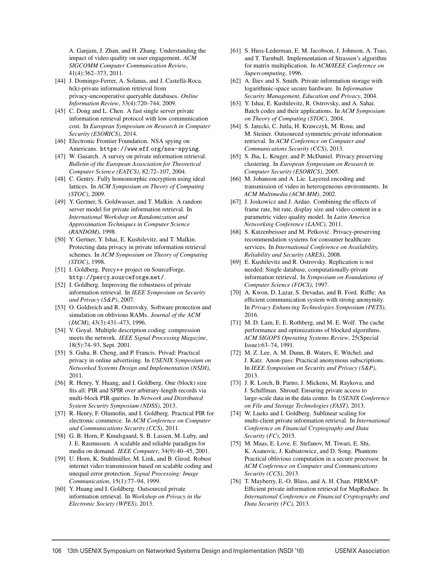A. Ganjam, J. Zhan, and H. Zhang. Understanding the impact of video quality on user engagement. *ACM SIGCOMM Computer Communication Review*, 41(4):362–373, 2011.

- [44] J. Domingo-Ferrer, A. Solanas, and J. Castellà-Roca. h(k)-private information retrieval from privacy-uncooperative queryable databases. *Online Information Review*, 33(4):720–744, 2009.
- [45] C. Dong and L. Chen. A fast single server private information retrieval protocol with low communication cost. In *European Symposium on Research in Computer Security (ESORICS)*, 2014.
- [46] Electronic Frontier Foundation. NSA spying on Americans. https://www.eff.org/nsa-spying.
- [47] W. Gasarch. A survey on private information retrieval. *Bulletin of the European Association for Theoretical Computer Science (EATCS)*, 82:72–107, 2004.
- [48] C. Gentry. Fully homomorphic encryption using ideal lattices. In *ACM Symposium on Theory of Computing (STOC)*, 2009.
- [49] Y. Gertner, S. Goldwasser, and T. Malkin. A random server model for private information retrieval. In *International Workshop on Randomization and Approximation Techniques in Computer Science (RANDOM)*, 1998.
- [50] Y. Gertner, Y. Ishai, E. Kushilevitz, and T. Malkin. Protecting data privacy in private information retrieval schemes. In *ACM Symposium on Theory of Computing (STOC)*, 1998.
- [51] I. Goldberg. Percy++ project on SourceForge. http://percy.sourceforge.net/.
- [52] I. Goldberg. Improving the robustness of private information retrieval. In *IEEE Symposium on Security and Privacy (S&P)*, 2007.
- [53] O. Goldreich and R. Ostrovsky. Software protection and simulation on oblivious RAMs. *Journal of the ACM (JACM)*, 43(3):431–473, 1996.
- [54] V. Goyal. Multiple description coding: compression meets the network. *IEEE Signal Processing Magazine*, 18(5):74–93, Sept. 2001.
- [55] S. Guha, B. Cheng, and P. Francis. Privad: Practical privacy in online advertising. In *USENIX Symposium on Networked Systems Design and Implementation (NSDI)*, 2011.
- [56] R. Henry, Y. Huang, and I. Goldberg. One (block) size fits all: PIR and SPIR over arbitrary-length records via multi-block PIR queries. In *Network and Distributed System Security Symposium (NDSS)*, 2013.
- [57] R. Henry, F. Olumofin, and I. Goldberg. Practical PIR for electronic commerce. In *ACM Conference on Computer and Communications Security (CCS)*, 2011.
- [58] G. B. Horn, P. Knudsgaard, S. B. Lassen, M. Luby, and J. E. Rasmussen. A scalable and reliable paradigm for media on demand. *IEEE Computer*, 34(9):40–45, 2001.
- [59] U. Horn, K. Stuhlmüller, M. Link, and B. Girod. Robust internet video transmission based on scalable coding and unequal error protection. *Signal Processing: Image Communication*, 15(1):77–94, 1999.
- [60] Y. Huang and I. Goldberg. Outsourced private information retrieval. In *Workshop on Privacy in the Electronic Society (WPES)*, 2013.
- [61] S. Huss-Lederman, E. M. Jacobson, J. Johnson, A. Tsao, and T. Turnbull. Implementation of Strassen's algorithm for matrix multiplication. In *ACM/IEEE Conference on Supercomputing*, 1996.
- [62] A. Iliev and S. Smith. Private information storage with logarithmic-space secure hardware. In *Information Security Management, Education and Privacy*, 2004.
- [63] Y. Ishai, E. Kushilevitz, R. Ostrovsky, and A. Sahai. Batch codes and their applications. In *ACM Symposium on Theory of Computing (STOC)*, 2004.
- [64] S. Jarecki, C. Jutla, H. Krawczyk, M. Rosu, and M. Steiner. Outsourced symmetric private information retrieval. In *ACM Conference on Computer and Communications Security (CCS)*, 2013.
- [65] S. Jha, L. Kruger, and P. McDaniel. Privacy preserving clustering. In *European Symposium on Research in Computer Security (ESORICS)*, 2005.
- [66] M. Johanson and A. Lie. Layered encoding and transmission of video in heterogeneous environments. In *ACM Multimedia (ACM-MM)*, 2002.
- [67] J. Joskowicz and J. Ardao. Combining the effects of frame rate, bit rate, display size and video content in a parametric video quality model. In *Latin America Networking Conference (LANC)*, 2011.
- [68] S. Katzenbeisser and M. Petković. Privacy-preserving recommendation systems for consumer healthcare services. In *International Conference on Availability, Reliability and Security (ARES)*, 2008.
- [69] E. Kushilevitz and R. Ostrovsky. Replication is not needed: Single database, computationally-private information retrieval. In *Symposium on Foundations of Computer Science (FOCS)*, 1997.
- [70] A. Kwon, D. Lazar, S. Devadas, and B. Ford. Riffle: An efficient communication system with strong anonymity. In *Privacy Enhancing Technologies Symposium (PETS)*, 2016.
- [71] M. D. Lam, E. E. Rothberg, and M. E. Wolf. The cache performance and optimizations of blocked algorithms. *ACM SIGOPS Operating Systems Review*, 25(Special Issue):63–74, 1991.
- [72] M. Z. Lee, A. M. Dunn, B. Waters, E. Witchel, and J. Katz. Anon-pass: Practical anonymous subscriptions. In *IEEE Symposium on Security and Privacy (S&P)*, 2013.
- [73] J. R. Lorch, B. Parno, J. Mickens, M. Raykova, and J. Schiffman. Shroud: Ensuring private access to large-scale data in the data center. In *USENIX Conference on File and Storage Technologies (FAST)*, 2013.
- [74] W. Lueks and I. Goldberg. Sublinear scaling for multi-client private information retrieval. In *International Conference on Financial Cryptography and Data Security (FC)*, 2015.
- [75] M. Maas, E. Love, E. Stefanov, M. Tiwari, E. Shi, K. Asanovic, J. Kubiatowicz, and D. Song. Phantom: Practical oblivious computation in a secure processor. In *ACM Conference on Computer and Communications Security (CCS)*, 2013.
- [76] T. Mayberry, E.-O. Blass, and A. H. Chan. PIRMAP: Efficient private information retrieval for MapReduce. In *International Conference on Financial Cryptography and Data Security (FC)*, 2013.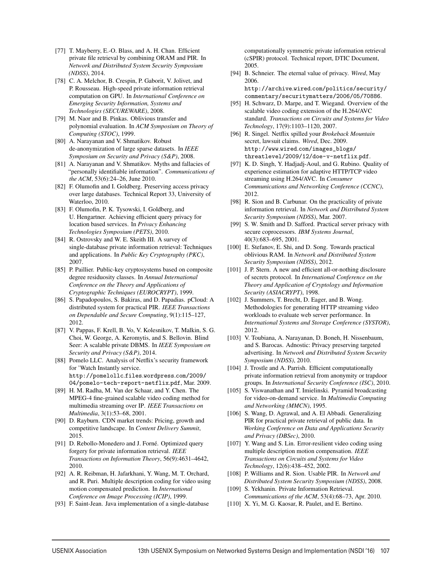- [77] T. Mayberry, E.-O. Blass, and A. H. Chan. Efficient private file retrieval by combining ORAM and PIR. In *Network and Distributed System Security Symposium (NDSS)*, 2014.
- [78] C. A. Melchor, B. Crespin, P. Gaborit, V. Jolivet, and P. Rousseau. High-speed private information retrieval computation on GPU. In *International Conference on Emerging Security Information, Systems and Technologies (SECUREWARE)*, 2008.
- [79] M. Naor and B. Pinkas. Oblivious transfer and polynomial evaluation. In *ACM Symposium on Theory of Computing (STOC)*, 1999.
- [80] A. Narayanan and V. Shmatikov. Robust de-anonymization of large sparse datasets. In *IEEE Symposium on Security and Privacy (S&P)*, 2008.
- [81] A. Narayanan and V. Shmatikov. Myths and fallacies of "personally identifiable information". *Communications of the ACM*, 53(6):24–26, June 2010.
- [82] F. Olumofin and I. Goldberg. Preserving access privacy over large databases. Technical Report 33, University of Waterloo, 2010.
- [83] F. Olumofin, P. K. Tysowski, I. Goldberg, and U. Hengartner. Achieving efficient query privacy for location based services. In *Privacy Enhancing Technologies Symposium (PETS)*, 2010.
- [84] R. Ostrovsky and W. E. Skeith III. A survey of single-database private information retrieval: Techniques and applications. In *Public Key Cryptography (PKC)*, 2007.
- [85] P. Paillier. Public-key cryptosystems based on composite degree residuosity classes. In *Annual International Conference on the Theory and Applications of Cryptographic Techniques (EUROCRYPT)*, 1999.
- [86] S. Papadopoulos, S. Bakiras, and D. Papadias. pCloud: A distributed system for practical PIR. *IEEE Transactions on Dependable and Secure Computing*, 9(1):115–127, 2012.
- [87] V. Pappas, F. Krell, B. Vo, V. Kolesnikov, T. Malkin, S. G. Choi, W. George, A. Keromytis, and S. Bellovin. Blind Seer: A scalable private DBMS. In *IEEE Symposium on Security and Privacy (S&P)*, 2014.
- [88] Pomelo LLC. Analysis of Netflix's security framework for 'Watch Instantly service. http://pomelollc.files.wordpress.com/2009/ 04/pomelo-tech-report-netflix.pdf, Mar. 2009.
- [89] H. M. Radha, M. Van der Schaar, and Y. Chen. The MPEG-4 fine-grained scalable video coding method for multimedia streaming over IP. *IEEE Transactions on Multimedia*, 3(1):53–68, 2001.
- [90] D. Rayburn. CDN market trends: Pricing, growth and competitive landscape. In *Content Delivery Summit*, 2015.
- [91] D. Rebollo-Monedero and J. Forné. Optimized query forgery for private information retrieval. *IEEE Transactions on Information Theory*, 56(9):4631–4642, 2010.
- [92] A. R. Reibman, H. Jafarkhani, Y. Wang, M. T. Orchard, and R. Puri. Multiple description coding for video using motion compensated prediction. In *International Conference on Image Processing (ICIP)*, 1999.
- [93] F. Saint-Jean. Java implementation of a single-database

computationally symmetric private information retrieval (cSPIR) protocol. Technical report, DTIC Document, 2005.

[94] B. Schneier. The eternal value of privacy. *Wired*, May 2006. http://archive.wired.com/politics/security/

commentary/securitymatters/2006/05/70886.

- [95] H. Schwarz, D. Marpe, and T. Wiegand. Overview of the scalable video coding extension of the H.264/AVC standard. *Transactions on Circuits and Systems for Video Technology*, 17(9):1103–1120, 2007.
- [96] R. Singel. Netflix spilled your *Brokeback Mountain* secret, lawsuit claims. *Wired*, Dec. 2009. http://www.wired.com/images\_blogs/ threatlevel/2009/12/doe-v-netflix.pdf.
- [97] K. D. Singh, Y. Hadjadj-Aoul, and G. Rubino. Quality of experience estimation for adaptive HTTP/TCP video streaming using H.264/AVC. In *Consumer Communications and Networking Conference (CCNC)*, 2012.
- [98] R. Sion and B. Carbunar. On the practicality of private information retrieval. In *Network and Distributed System Security Symposium (NDSS)*, Mar. 2007.
- [99] S. W. Smith and D. Safford. Practical server privacy with secure coprocessors. *IBM Systems Journal*, 40(3):683–695, 2001.
- [100] E. Stefanov, E. Shi, and D. Song. Towards practical oblivious RAM. In *Network and Distributed System Security Symposium (NDSS)*, 2012.
- [101] J. P. Stern. A new and efficient all-or-nothing disclosure of secrets protocol. In *International Conference on the Theory and Application of Cryptology and Information Security (ASIACRYPT)*, 1998.
- [102] J. Summers, T. Brecht, D. Eager, and B. Wong. Methodologies for generating HTTP streaming video workloads to evaluate web server performance. In *International Systems and Storage Conference (SYSTOR)*, 2012.
- [103] V. Toubiana, A. Narayanan, D. Boneh, H. Nissenbaum, and S. Barocas. Adnostic: Privacy preserving targeted advertising. In *Network and Distributed System Security Symposium (NDSS)*, 2010.
- [104] J. Trostle and A. Parrish. Efficient computationally private information retrieval from anonymity or trapdoor groups. In *International Security Conference (ISC)*, 2010.
- [105] S. Viswanathan and T. Imielinski. Pyramid broadcasting for video-on-demand service. In *Multimedia Computing and Networking (MMCN)*, 1995.
- [106] S. Wang, D. Agrawal, and A. El Abbadi. Generalizing PIR for practical private retrieval of public data. In *Working Conference on Data and Applications Security and Privacy (DBSec)*, 2010.
- [107] Y. Wang and S. Lin. Error-resilient video coding using multiple description motion compensation. *IEEE Transactions on Circuits and Systems for Video Technology*, 12(6):438–452, 2002.
- [108] P. Williams and R. Sion. Usable PIR. In *Network and Distributed System Security Symposium (NDSS)*, 2008.
- [109] S. Yekhanin. Private Information Retrieval. *Communications of the ACM*, 53(4):68–73, Apr. 2010.
- [110] X. Yi, M. G. Kaosar, R. Paulet, and E. Bertino.